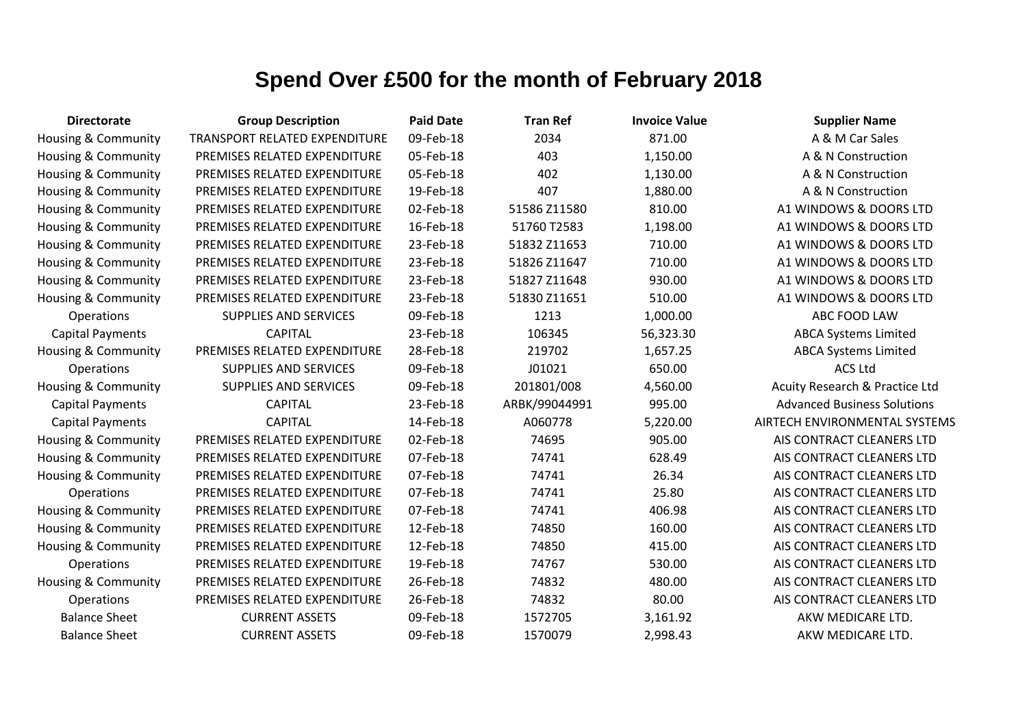| <b>Directorate</b>             | <b>Group Description</b>             | <b>Paid Date</b> | <b>Tran Ref</b> | <b>Invoice Value</b> | <b>Supplier Name</b>               |
|--------------------------------|--------------------------------------|------------------|-----------------|----------------------|------------------------------------|
| Housing & Community            | <b>TRANSPORT RELATED EXPENDITURE</b> | 09-Feb-18        | 2034            | 871.00               | A & M Car Sales                    |
| Housing & Community            | PREMISES RELATED EXPENDITURE         | 05-Feb-18        | 403             | 1,150.00             | A & N Construction                 |
| Housing & Community            | PREMISES RELATED EXPENDITURE         | 05-Feb-18        | 402             | 1,130.00             | A & N Construction                 |
| <b>Housing &amp; Community</b> | PREMISES RELATED EXPENDITURE         | 19-Feb-18        | 407             | 1,880.00             | A & N Construction                 |
| Housing & Community            | PREMISES RELATED EXPENDITURE         | 02-Feb-18        | 51586 Z11580    | 810.00               | A1 WINDOWS & DOORS LTD             |
| <b>Housing &amp; Community</b> | PREMISES RELATED EXPENDITURE         | 16-Feb-18        | 51760 T2583     | 1,198.00             | A1 WINDOWS & DOORS LTD             |
| Housing & Community            | PREMISES RELATED EXPENDITURE         | 23-Feb-18        | 51832 Z11653    | 710.00               | A1 WINDOWS & DOORS LTD             |
| Housing & Community            | PREMISES RELATED EXPENDITURE         | 23-Feb-18        | 51826 Z11647    | 710.00               | A1 WINDOWS & DOORS LTD             |
| Housing & Community            | PREMISES RELATED EXPENDITURE         | 23-Feb-18        | 51827 Z11648    | 930.00               | A1 WINDOWS & DOORS LTD             |
| Housing & Community            | PREMISES RELATED EXPENDITURE         | 23-Feb-18        | 51830 Z11651    | 510.00               | A1 WINDOWS & DOORS LTD             |
| Operations                     | <b>SUPPLIES AND SERVICES</b>         | 09-Feb-18        | 1213            | 1,000.00             | ABC FOOD LAW                       |
| <b>Capital Payments</b>        | <b>CAPITAL</b>                       | 23-Feb-18        | 106345          | 56,323.30            | <b>ABCA Systems Limited</b>        |
| Housing & Community            | PREMISES RELATED EXPENDITURE         | 28-Feb-18        | 219702          | 1,657.25             | <b>ABCA Systems Limited</b>        |
| <b>Operations</b>              | <b>SUPPLIES AND SERVICES</b>         | 09-Feb-18        | J01021          | 650.00               | <b>ACS Ltd</b>                     |
| Housing & Community            | <b>SUPPLIES AND SERVICES</b>         | 09-Feb-18        | 201801/008      | 4,560.00             | Acuity Research & Practice Ltd     |
| <b>Capital Payments</b>        | <b>CAPITAL</b>                       | 23-Feb-18        | ARBK/99044991   | 995.00               | <b>Advanced Business Solutions</b> |
| <b>Capital Payments</b>        | <b>CAPITAL</b>                       | 14-Feb-18        | A060778         | 5,220.00             | AIRTECH ENVIRONMENTAL SYSTEMS      |
| Housing & Community            | PREMISES RELATED EXPENDITURE         | 02-Feb-18        | 74695           | 905.00               | AIS CONTRACT CLEANERS LTD          |
| Housing & Community            | PREMISES RELATED EXPENDITURE         | 07-Feb-18        | 74741           | 628.49               | AIS CONTRACT CLEANERS LTD          |
| Housing & Community            | PREMISES RELATED EXPENDITURE         | 07-Feb-18        | 74741           | 26.34                | AIS CONTRACT CLEANERS LTD          |
| <b>Operations</b>              | PREMISES RELATED EXPENDITURE         | 07-Feb-18        | 74741           | 25.80                | AIS CONTRACT CLEANERS LTD          |
| <b>Housing &amp; Community</b> | PREMISES RELATED EXPENDITURE         | 07-Feb-18        | 74741           | 406.98               | AIS CONTRACT CLEANERS LTD          |
| Housing & Community            | PREMISES RELATED EXPENDITURE         | 12-Feb-18        | 74850           | 160.00               | AIS CONTRACT CLEANERS LTD          |
| <b>Housing &amp; Community</b> | PREMISES RELATED EXPENDITURE         | 12-Feb-18        | 74850           | 415.00               | AIS CONTRACT CLEANERS LTD          |
| Operations                     | PREMISES RELATED EXPENDITURE         | 19-Feb-18        | 74767           | 530.00               | AIS CONTRACT CLEANERS LTD          |
| Housing & Community            | PREMISES RELATED EXPENDITURE         | 26-Feb-18        | 74832           | 480.00               | AIS CONTRACT CLEANERS LTD          |
| Operations                     | PREMISES RELATED EXPENDITURE         | 26-Feb-18        | 74832           | 80.00                | AIS CONTRACT CLEANERS LTD          |
| <b>Balance Sheet</b>           | <b>CURRENT ASSETS</b>                | 09-Feb-18        | 1572705         | 3,161.92             | AKW MEDICARE LTD.                  |
| <b>Balance Sheet</b>           | <b>CURRENT ASSETS</b>                | 09-Feb-18        | 1570079         | 2,998.43             | AKW MEDICARE LTD.                  |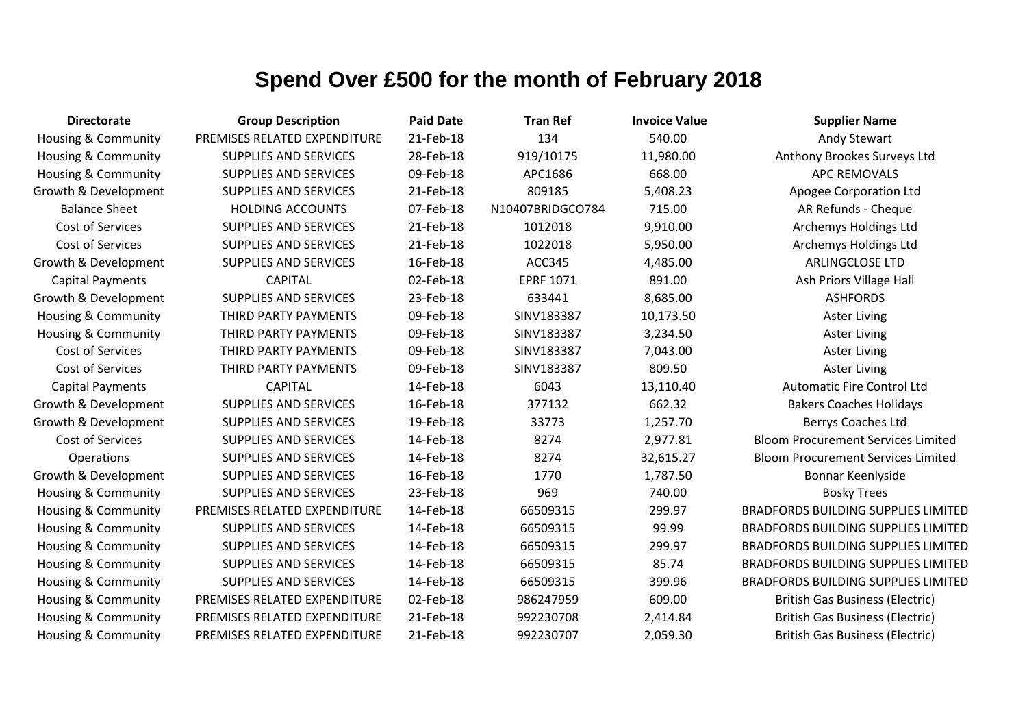| <b>Directorate</b>             | <b>Group Description</b>     | <b>Paid Date</b> | <b>Tran Ref</b>  | <b>Invoice Value</b> | <b>Supplier Name</b>                       |
|--------------------------------|------------------------------|------------------|------------------|----------------------|--------------------------------------------|
| Housing & Community            | PREMISES RELATED EXPENDITURE | 21-Feb-18        | 134              | 540.00               | Andy Stewart                               |
| Housing & Community            | <b>SUPPLIES AND SERVICES</b> | 28-Feb-18        | 919/10175        | 11,980.00            | Anthony Brookes Surveys Ltd                |
| Housing & Community            | <b>SUPPLIES AND SERVICES</b> | 09-Feb-18        | APC1686          | 668.00               | <b>APC REMOVALS</b>                        |
| Growth & Development           | <b>SUPPLIES AND SERVICES</b> | 21-Feb-18        | 809185           | 5,408.23             | Apogee Corporation Ltd                     |
| <b>Balance Sheet</b>           | <b>HOLDING ACCOUNTS</b>      | 07-Feb-18        | N10407BRIDGCO784 | 715.00               | AR Refunds - Cheque                        |
| <b>Cost of Services</b>        | <b>SUPPLIES AND SERVICES</b> | 21-Feb-18        | 1012018          | 9,910.00             | Archemys Holdings Ltd                      |
| Cost of Services               | <b>SUPPLIES AND SERVICES</b> | 21-Feb-18        | 1022018          | 5,950.00             | Archemys Holdings Ltd                      |
| Growth & Development           | <b>SUPPLIES AND SERVICES</b> | 16-Feb-18        | <b>ACC345</b>    | 4,485.00             | <b>ARLINGCLOSE LTD</b>                     |
| <b>Capital Payments</b>        | <b>CAPITAL</b>               | 02-Feb-18        | <b>EPRF 1071</b> | 891.00               | Ash Priors Village Hall                    |
| Growth & Development           | <b>SUPPLIES AND SERVICES</b> | 23-Feb-18        | 633441           | 8,685.00             | <b>ASHFORDS</b>                            |
| Housing & Community            | THIRD PARTY PAYMENTS         | 09-Feb-18        | SINV183387       | 10,173.50            | <b>Aster Living</b>                        |
| <b>Housing &amp; Community</b> | THIRD PARTY PAYMENTS         | 09-Feb-18        | SINV183387       | 3,234.50             | <b>Aster Living</b>                        |
| Cost of Services               | THIRD PARTY PAYMENTS         | 09-Feb-18        | SINV183387       | 7,043.00             | <b>Aster Living</b>                        |
| Cost of Services               | THIRD PARTY PAYMENTS         | 09-Feb-18        | SINV183387       | 809.50               | <b>Aster Living</b>                        |
| <b>Capital Payments</b>        | <b>CAPITAL</b>               | 14-Feb-18        | 6043             | 13,110.40            | <b>Automatic Fire Control Ltd</b>          |
| Growth & Development           | <b>SUPPLIES AND SERVICES</b> | 16-Feb-18        | 377132           | 662.32               | <b>Bakers Coaches Holidays</b>             |
| Growth & Development           | <b>SUPPLIES AND SERVICES</b> | 19-Feb-18        | 33773            | 1,257.70             | Berrys Coaches Ltd                         |
| Cost of Services               | <b>SUPPLIES AND SERVICES</b> | 14-Feb-18        | 8274             | 2,977.81             | <b>Bloom Procurement Services Limited</b>  |
| Operations                     | <b>SUPPLIES AND SERVICES</b> | 14-Feb-18        | 8274             | 32,615.27            | <b>Bloom Procurement Services Limited</b>  |
| Growth & Development           | SUPPLIES AND SERVICES        | 16-Feb-18        | 1770             | 1,787.50             | Bonnar Keenlyside                          |
| <b>Housing &amp; Community</b> | <b>SUPPLIES AND SERVICES</b> | 23-Feb-18        | 969              | 740.00               | <b>Bosky Trees</b>                         |
| <b>Housing &amp; Community</b> | PREMISES RELATED EXPENDITURE | 14-Feb-18        | 66509315         | 299.97               | <b>BRADFORDS BUILDING SUPPLIES LIMITED</b> |
| Housing & Community            | <b>SUPPLIES AND SERVICES</b> | 14-Feb-18        | 66509315         | 99.99                | <b>BRADFORDS BUILDING SUPPLIES LIMITED</b> |
| <b>Housing &amp; Community</b> | <b>SUPPLIES AND SERVICES</b> | 14-Feb-18        | 66509315         | 299.97               | <b>BRADFORDS BUILDING SUPPLIES LIMITED</b> |
| <b>Housing &amp; Community</b> | <b>SUPPLIES AND SERVICES</b> | 14-Feb-18        | 66509315         | 85.74                | <b>BRADFORDS BUILDING SUPPLIES LIMITED</b> |
| <b>Housing &amp; Community</b> | SUPPLIES AND SERVICES        | 14-Feb-18        | 66509315         | 399.96               | <b>BRADFORDS BUILDING SUPPLIES LIMITED</b> |
| Housing & Community            | PREMISES RELATED EXPENDITURE | 02-Feb-18        | 986247959        | 609.00               | <b>British Gas Business (Electric)</b>     |
| Housing & Community            | PREMISES RELATED EXPENDITURE | 21-Feb-18        | 992230708        | 2,414.84             | <b>British Gas Business (Electric)</b>     |
| Housing & Community            | PREMISES RELATED EXPENDITURE | 21-Feb-18        | 992230707        | 2,059.30             | <b>British Gas Business (Electric)</b>     |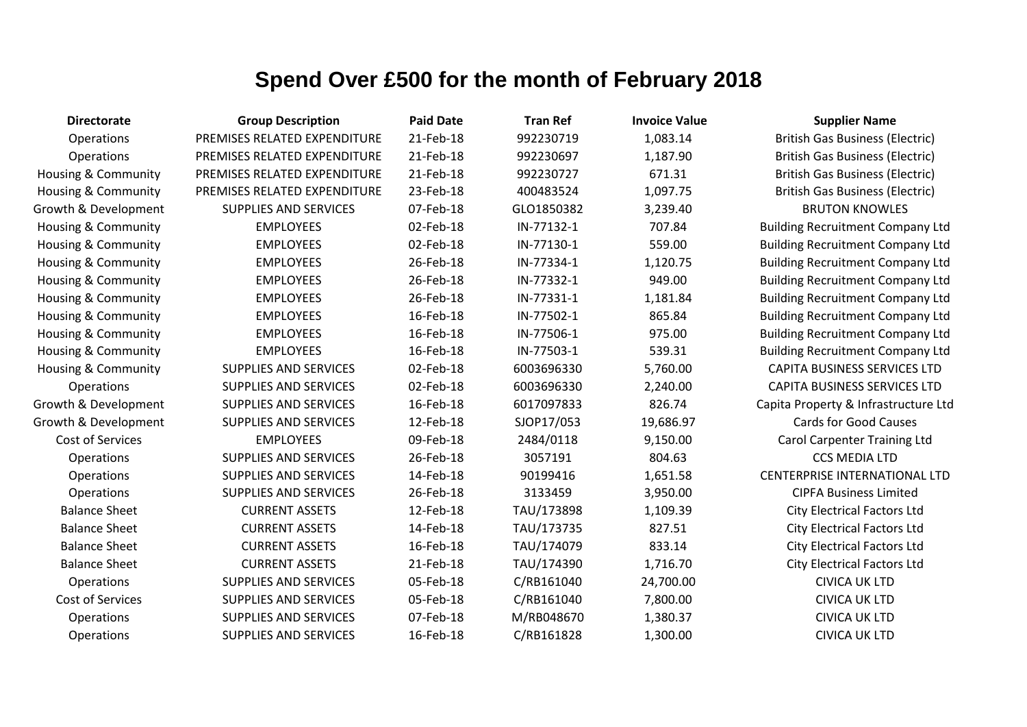| <b>Directorate</b>             | <b>Group Description</b>     | <b>Paid Date</b> | <b>Tran Ref</b> | <b>Invoice Value</b> | <b>Supplier Name</b>                    |
|--------------------------------|------------------------------|------------------|-----------------|----------------------|-----------------------------------------|
| Operations                     | PREMISES RELATED EXPENDITURE | 21-Feb-18        | 992230719       | 1,083.14             | <b>British Gas Business (Electric)</b>  |
| Operations                     | PREMISES RELATED EXPENDITURE | 21-Feb-18        | 992230697       | 1,187.90             | <b>British Gas Business (Electric)</b>  |
| Housing & Community            | PREMISES RELATED EXPENDITURE | 21-Feb-18        | 992230727       | 671.31               | <b>British Gas Business (Electric)</b>  |
| Housing & Community            | PREMISES RELATED EXPENDITURE | 23-Feb-18        | 400483524       | 1,097.75             | <b>British Gas Business (Electric)</b>  |
| Growth & Development           | <b>SUPPLIES AND SERVICES</b> | 07-Feb-18        | GLO1850382      | 3,239.40             | <b>BRUTON KNOWLES</b>                   |
| Housing & Community            | <b>EMPLOYEES</b>             | 02-Feb-18        | IN-77132-1      | 707.84               | <b>Building Recruitment Company Ltd</b> |
| Housing & Community            | <b>EMPLOYEES</b>             | 02-Feb-18        | IN-77130-1      | 559.00               | <b>Building Recruitment Company Ltd</b> |
| <b>Housing &amp; Community</b> | <b>EMPLOYEES</b>             | 26-Feb-18        | IN-77334-1      | 1,120.75             | <b>Building Recruitment Company Ltd</b> |
| Housing & Community            | <b>EMPLOYEES</b>             | 26-Feb-18        | IN-77332-1      | 949.00               | <b>Building Recruitment Company Ltd</b> |
| <b>Housing &amp; Community</b> | <b>EMPLOYEES</b>             | 26-Feb-18        | IN-77331-1      | 1,181.84             | <b>Building Recruitment Company Ltd</b> |
| <b>Housing &amp; Community</b> | <b>EMPLOYEES</b>             | 16-Feb-18        | IN-77502-1      | 865.84               | <b>Building Recruitment Company Ltd</b> |
| <b>Housing &amp; Community</b> | <b>EMPLOYEES</b>             | 16-Feb-18        | IN-77506-1      | 975.00               | <b>Building Recruitment Company Ltd</b> |
| Housing & Community            | <b>EMPLOYEES</b>             | 16-Feb-18        | IN-77503-1      | 539.31               | <b>Building Recruitment Company Ltd</b> |
| <b>Housing &amp; Community</b> | <b>SUPPLIES AND SERVICES</b> | 02-Feb-18        | 6003696330      | 5,760.00             | <b>CAPITA BUSINESS SERVICES LTD</b>     |
| Operations                     | <b>SUPPLIES AND SERVICES</b> | 02-Feb-18        | 6003696330      | 2,240.00             | <b>CAPITA BUSINESS SERVICES LTD</b>     |
| Growth & Development           | <b>SUPPLIES AND SERVICES</b> | 16-Feb-18        | 6017097833      | 826.74               | Capita Property & Infrastructure Ltd    |
| Growth & Development           | <b>SUPPLIES AND SERVICES</b> | 12-Feb-18        | SJOP17/053      | 19,686.97            | <b>Cards for Good Causes</b>            |
| <b>Cost of Services</b>        | <b>EMPLOYEES</b>             | 09-Feb-18        | 2484/0118       | 9,150.00             | <b>Carol Carpenter Training Ltd</b>     |
| Operations                     | <b>SUPPLIES AND SERVICES</b> | 26-Feb-18        | 3057191         | 804.63               | <b>CCS MEDIA LTD</b>                    |
| Operations                     | <b>SUPPLIES AND SERVICES</b> | 14-Feb-18        | 90199416        | 1,651.58             | CENTERPRISE INTERNATIONAL LTD           |
| Operations                     | <b>SUPPLIES AND SERVICES</b> | 26-Feb-18        | 3133459         | 3,950.00             | <b>CIPFA Business Limited</b>           |
| <b>Balance Sheet</b>           | <b>CURRENT ASSETS</b>        | 12-Feb-18        | TAU/173898      | 1,109.39             | <b>City Electrical Factors Ltd</b>      |
| <b>Balance Sheet</b>           | <b>CURRENT ASSETS</b>        | 14-Feb-18        | TAU/173735      | 827.51               | <b>City Electrical Factors Ltd</b>      |
| <b>Balance Sheet</b>           | <b>CURRENT ASSETS</b>        | 16-Feb-18        | TAU/174079      | 833.14               | <b>City Electrical Factors Ltd</b>      |
| <b>Balance Sheet</b>           | <b>CURRENT ASSETS</b>        | 21-Feb-18        | TAU/174390      | 1,716.70             | <b>City Electrical Factors Ltd</b>      |
| Operations                     | <b>SUPPLIES AND SERVICES</b> | 05-Feb-18        | C/RB161040      | 24,700.00            | <b>CIVICA UK LTD</b>                    |
| Cost of Services               | SUPPLIES AND SERVICES        | 05-Feb-18        | C/RB161040      | 7,800.00             | <b>CIVICA UK LTD</b>                    |
| Operations                     | <b>SUPPLIES AND SERVICES</b> | 07-Feb-18        | M/RB048670      | 1,380.37             | <b>CIVICA UK LTD</b>                    |
| Operations                     | <b>SUPPLIES AND SERVICES</b> | 16-Feb-18        | C/RB161828      | 1,300.00             | <b>CIVICA UK LTD</b>                    |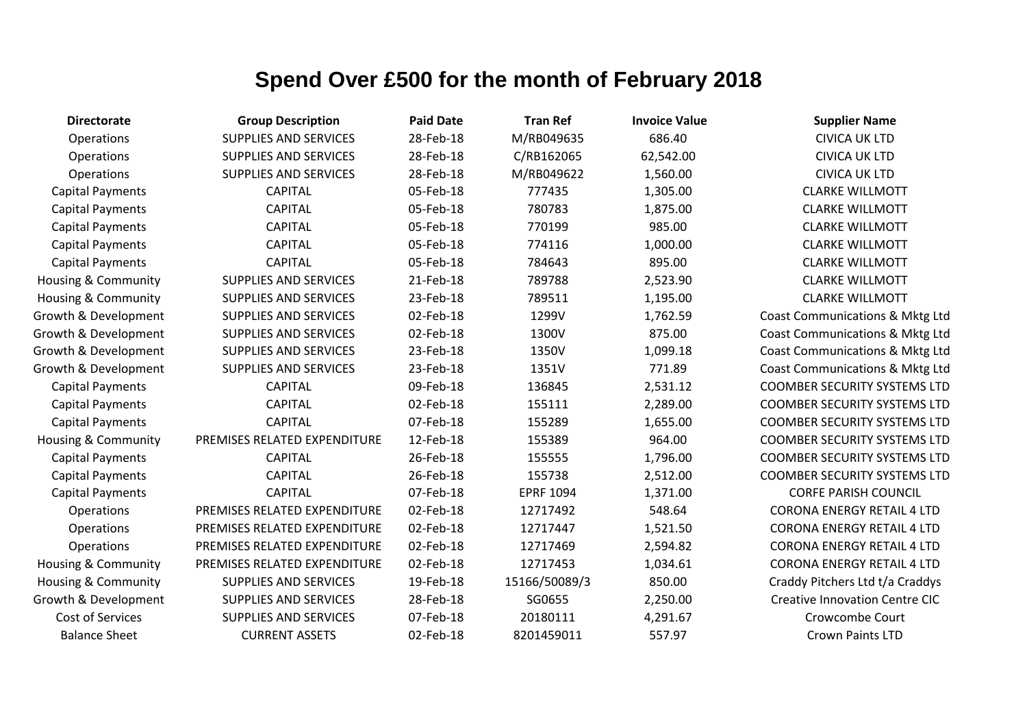| <b>Directorate</b>             | <b>Group Description</b>     | <b>Paid Date</b> | <b>Tran Ref</b>  | <b>Invoice Value</b> | <b>Supplier Name</b>                  |
|--------------------------------|------------------------------|------------------|------------------|----------------------|---------------------------------------|
| Operations                     | <b>SUPPLIES AND SERVICES</b> | 28-Feb-18        | M/RB049635       | 686.40               | <b>CIVICA UK LTD</b>                  |
| Operations                     | <b>SUPPLIES AND SERVICES</b> | 28-Feb-18        | C/RB162065       | 62,542.00            | <b>CIVICA UK LTD</b>                  |
| Operations                     | <b>SUPPLIES AND SERVICES</b> | 28-Feb-18        | M/RB049622       | 1,560.00             | <b>CIVICA UK LTD</b>                  |
| <b>Capital Payments</b>        | <b>CAPITAL</b>               | 05-Feb-18        | 777435           | 1,305.00             | <b>CLARKE WILLMOTT</b>                |
| <b>Capital Payments</b>        | <b>CAPITAL</b>               | 05-Feb-18        | 780783           | 1,875.00             | <b>CLARKE WILLMOTT</b>                |
| <b>Capital Payments</b>        | <b>CAPITAL</b>               | 05-Feb-18        | 770199           | 985.00               | <b>CLARKE WILLMOTT</b>                |
| <b>Capital Payments</b>        | <b>CAPITAL</b>               | 05-Feb-18        | 774116           | 1,000.00             | <b>CLARKE WILLMOTT</b>                |
| <b>Capital Payments</b>        | <b>CAPITAL</b>               | 05-Feb-18        | 784643           | 895.00               | <b>CLARKE WILLMOTT</b>                |
| <b>Housing &amp; Community</b> | <b>SUPPLIES AND SERVICES</b> | 21-Feb-18        | 789788           | 2,523.90             | <b>CLARKE WILLMOTT</b>                |
| Housing & Community            | SUPPLIES AND SERVICES        | 23-Feb-18        | 789511           | 1,195.00             | <b>CLARKE WILLMOTT</b>                |
| Growth & Development           | <b>SUPPLIES AND SERVICES</b> | 02-Feb-18        | 1299V            | 1,762.59             | Coast Communications & Mktg Ltd       |
| Growth & Development           | <b>SUPPLIES AND SERVICES</b> | 02-Feb-18        | 1300V            | 875.00               | Coast Communications & Mktg Ltd       |
| Growth & Development           | <b>SUPPLIES AND SERVICES</b> | 23-Feb-18        | 1350V            | 1,099.18             | Coast Communications & Mktg Ltd       |
| Growth & Development           | SUPPLIES AND SERVICES        | 23-Feb-18        | 1351V            | 771.89               | Coast Communications & Mktg Ltd       |
| <b>Capital Payments</b>        | <b>CAPITAL</b>               | 09-Feb-18        | 136845           | 2,531.12             | <b>COOMBER SECURITY SYSTEMS LTD</b>   |
| <b>Capital Payments</b>        | <b>CAPITAL</b>               | 02-Feb-18        | 155111           | 2,289.00             | <b>COOMBER SECURITY SYSTEMS LTD</b>   |
| <b>Capital Payments</b>        | <b>CAPITAL</b>               | 07-Feb-18        | 155289           | 1,655.00             | <b>COOMBER SECURITY SYSTEMS LTD</b>   |
| <b>Housing &amp; Community</b> | PREMISES RELATED EXPENDITURE | 12-Feb-18        | 155389           | 964.00               | <b>COOMBER SECURITY SYSTEMS LTD</b>   |
| <b>Capital Payments</b>        | <b>CAPITAL</b>               | 26-Feb-18        | 155555           | 1,796.00             | <b>COOMBER SECURITY SYSTEMS LTD</b>   |
| <b>Capital Payments</b>        | <b>CAPITAL</b>               | 26-Feb-18        | 155738           | 2,512.00             | <b>COOMBER SECURITY SYSTEMS LTD</b>   |
| <b>Capital Payments</b>        | <b>CAPITAL</b>               | 07-Feb-18        | <b>EPRF 1094</b> | 1,371.00             | <b>CORFE PARISH COUNCIL</b>           |
| Operations                     | PREMISES RELATED EXPENDITURE | 02-Feb-18        | 12717492         | 548.64               | <b>CORONA ENERGY RETAIL 4 LTD</b>     |
| Operations                     | PREMISES RELATED EXPENDITURE | 02-Feb-18        | 12717447         | 1,521.50             | <b>CORONA ENERGY RETAIL 4 LTD</b>     |
| Operations                     | PREMISES RELATED EXPENDITURE | 02-Feb-18        | 12717469         | 2,594.82             | <b>CORONA ENERGY RETAIL 4 LTD</b>     |
| Housing & Community            | PREMISES RELATED EXPENDITURE | 02-Feb-18        | 12717453         | 1,034.61             | <b>CORONA ENERGY RETAIL 4 LTD</b>     |
| <b>Housing &amp; Community</b> | <b>SUPPLIES AND SERVICES</b> | 19-Feb-18        | 15166/50089/3    | 850.00               | Craddy Pitchers Ltd t/a Craddys       |
| Growth & Development           | <b>SUPPLIES AND SERVICES</b> | 28-Feb-18        | SG0655           | 2,250.00             | <b>Creative Innovation Centre CIC</b> |
| <b>Cost of Services</b>        | <b>SUPPLIES AND SERVICES</b> | 07-Feb-18        | 20180111         | 4,291.67             | Crowcombe Court                       |
| <b>Balance Sheet</b>           | <b>CURRENT ASSETS</b>        | 02-Feb-18        | 8201459011       | 557.97               | Crown Paints LTD                      |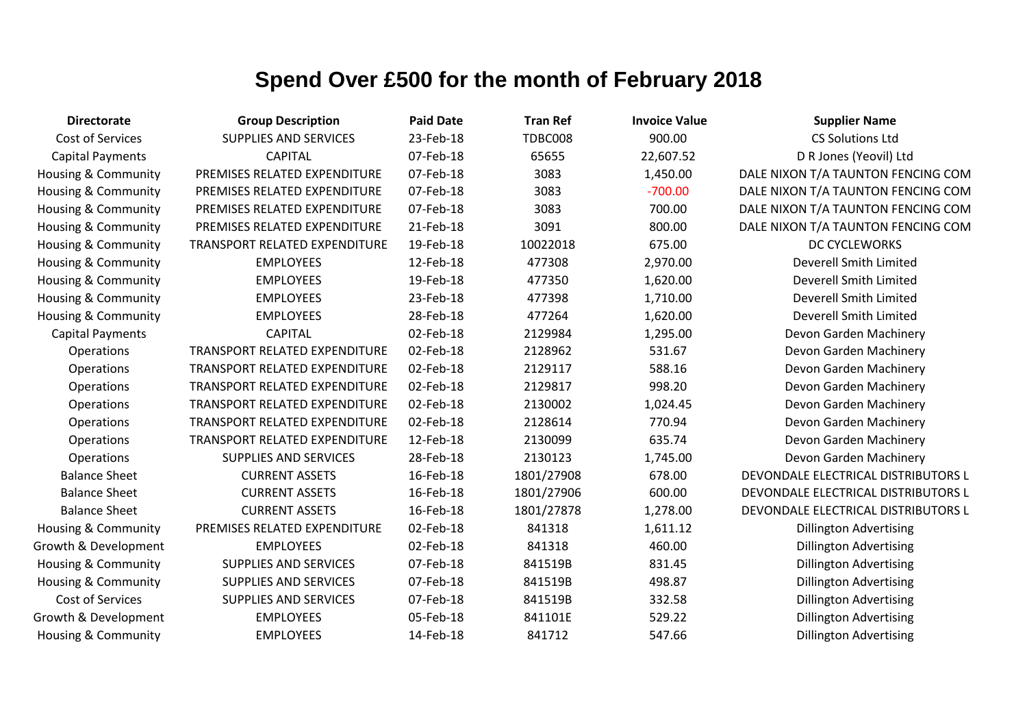| <b>Directorate</b>             | <b>Group Description</b>             | <b>Paid Date</b> | <b>Tran Ref</b> | <b>Invoice Value</b> | <b>Supplier Name</b>                |
|--------------------------------|--------------------------------------|------------------|-----------------|----------------------|-------------------------------------|
| Cost of Services               | <b>SUPPLIES AND SERVICES</b>         | 23-Feb-18        | <b>TDBC008</b>  | 900.00               | <b>CS Solutions Ltd</b>             |
| <b>Capital Payments</b>        | <b>CAPITAL</b>                       | 07-Feb-18        | 65655           | 22,607.52            | D R Jones (Yeovil) Ltd              |
| Housing & Community            | PREMISES RELATED EXPENDITURE         | 07-Feb-18        | 3083            | 1,450.00             | DALE NIXON T/A TAUNTON FENCING COM  |
| Housing & Community            | PREMISES RELATED EXPENDITURE         | 07-Feb-18        | 3083            | $-700.00$            | DALE NIXON T/A TAUNTON FENCING COM  |
| <b>Housing &amp; Community</b> | PREMISES RELATED EXPENDITURE         | 07-Feb-18        | 3083            | 700.00               | DALE NIXON T/A TAUNTON FENCING COM  |
| <b>Housing &amp; Community</b> | PREMISES RELATED EXPENDITURE         | 21-Feb-18        | 3091            | 800.00               | DALE NIXON T/A TAUNTON FENCING COM  |
| Housing & Community            | TRANSPORT RELATED EXPENDITURE        | 19-Feb-18        | 10022018        | 675.00               | DC CYCLEWORKS                       |
| <b>Housing &amp; Community</b> | <b>EMPLOYEES</b>                     | 12-Feb-18        | 477308          | 2,970.00             | Deverell Smith Limited              |
| <b>Housing &amp; Community</b> | <b>EMPLOYEES</b>                     | 19-Feb-18        | 477350          | 1,620.00             | <b>Deverell Smith Limited</b>       |
| <b>Housing &amp; Community</b> | <b>EMPLOYEES</b>                     | 23-Feb-18        | 477398          | 1,710.00             | Deverell Smith Limited              |
| Housing & Community            | <b>EMPLOYEES</b>                     | 28-Feb-18        | 477264          | 1,620.00             | <b>Deverell Smith Limited</b>       |
| <b>Capital Payments</b>        | <b>CAPITAL</b>                       | 02-Feb-18        | 2129984         | 1,295.00             | Devon Garden Machinery              |
| Operations                     | TRANSPORT RELATED EXPENDITURE        | 02-Feb-18        | 2128962         | 531.67               | Devon Garden Machinery              |
| Operations                     | TRANSPORT RELATED EXPENDITURE        | 02-Feb-18        | 2129117         | 588.16               | Devon Garden Machinery              |
| Operations                     | <b>TRANSPORT RELATED EXPENDITURE</b> | 02-Feb-18        | 2129817         | 998.20               | Devon Garden Machinery              |
| Operations                     | TRANSPORT RELATED EXPENDITURE        | 02-Feb-18        | 2130002         | 1,024.45             | Devon Garden Machinery              |
| Operations                     | TRANSPORT RELATED EXPENDITURE        | 02-Feb-18        | 2128614         | 770.94               | Devon Garden Machinery              |
| Operations                     | TRANSPORT RELATED EXPENDITURE        | 12-Feb-18        | 2130099         | 635.74               | Devon Garden Machinery              |
| Operations                     | SUPPLIES AND SERVICES                | 28-Feb-18        | 2130123         | 1,745.00             | Devon Garden Machinery              |
| <b>Balance Sheet</b>           | <b>CURRENT ASSETS</b>                | 16-Feb-18        | 1801/27908      | 678.00               | DEVONDALE ELECTRICAL DISTRIBUTORS L |
| <b>Balance Sheet</b>           | <b>CURRENT ASSETS</b>                | 16-Feb-18        | 1801/27906      | 600.00               | DEVONDALE ELECTRICAL DISTRIBUTORS L |
| <b>Balance Sheet</b>           | <b>CURRENT ASSETS</b>                | 16-Feb-18        | 1801/27878      | 1,278.00             | DEVONDALE ELECTRICAL DISTRIBUTORS L |
| Housing & Community            | PREMISES RELATED EXPENDITURE         | 02-Feb-18        | 841318          | 1,611.12             | <b>Dillington Advertising</b>       |
| Growth & Development           | <b>EMPLOYEES</b>                     | 02-Feb-18        | 841318          | 460.00               | <b>Dillington Advertising</b>       |
| Housing & Community            | <b>SUPPLIES AND SERVICES</b>         | 07-Feb-18        | 841519B         | 831.45               | <b>Dillington Advertising</b>       |
| <b>Housing &amp; Community</b> | <b>SUPPLIES AND SERVICES</b>         | 07-Feb-18        | 841519B         | 498.87               | <b>Dillington Advertising</b>       |
| Cost of Services               | <b>SUPPLIES AND SERVICES</b>         | 07-Feb-18        | 841519B         | 332.58               | <b>Dillington Advertising</b>       |
| Growth & Development           | <b>EMPLOYEES</b>                     | 05-Feb-18        | 841101E         | 529.22               | <b>Dillington Advertising</b>       |
| Housing & Community            | <b>EMPLOYEES</b>                     | 14-Feb-18        | 841712          | 547.66               | <b>Dillington Advertising</b>       |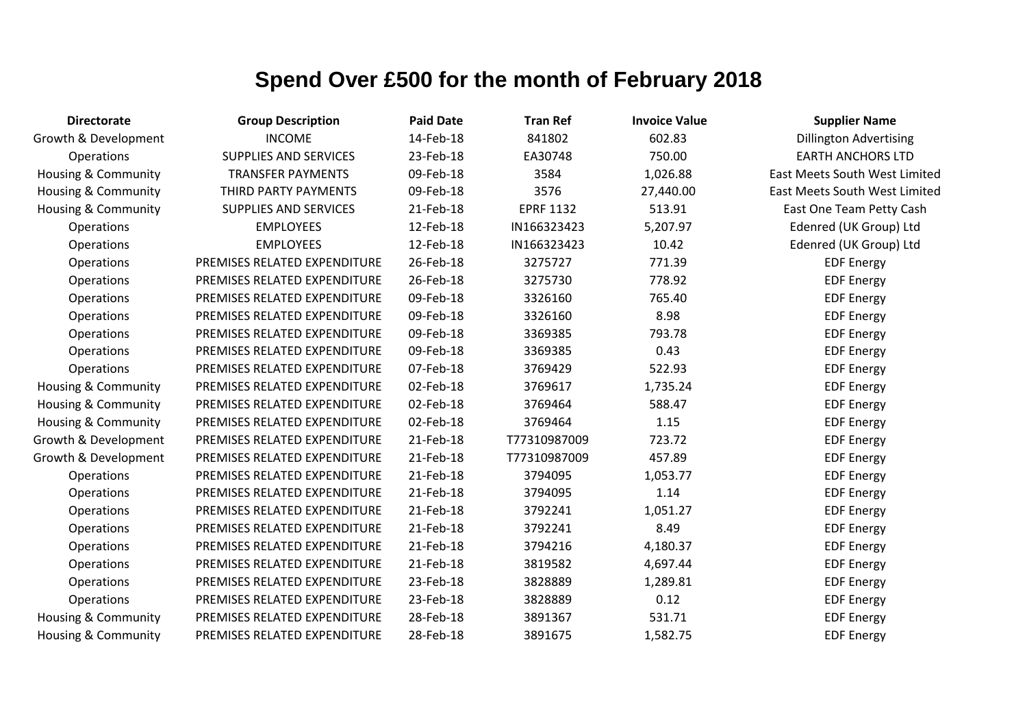| <b>Directorate</b>             | <b>Group Description</b>     | <b>Paid Date</b> | <b>Tran Ref</b>  | <b>Invoice Value</b> | <b>Supplier Name</b>                 |
|--------------------------------|------------------------------|------------------|------------------|----------------------|--------------------------------------|
| Growth & Development           | <b>INCOME</b>                | 14-Feb-18        | 841802           | 602.83               | <b>Dillington Advertising</b>        |
| <b>Operations</b>              | SUPPLIES AND SERVICES        | 23-Feb-18        | EA30748          | 750.00               | <b>EARTH ANCHORS LTD</b>             |
| <b>Housing &amp; Community</b> | <b>TRANSFER PAYMENTS</b>     | 09-Feb-18        | 3584             | 1,026.88             | East Meets South West Limited        |
| Housing & Community            | THIRD PARTY PAYMENTS         | 09-Feb-18        | 3576             | 27,440.00            | <b>East Meets South West Limited</b> |
| Housing & Community            | SUPPLIES AND SERVICES        | 21-Feb-18        | <b>EPRF 1132</b> | 513.91               | East One Team Petty Cash             |
| Operations                     | <b>EMPLOYEES</b>             | 12-Feb-18        | IN166323423      | 5,207.97             | Edenred (UK Group) Ltd               |
| Operations                     | <b>EMPLOYEES</b>             | 12-Feb-18        | IN166323423      | 10.42                | Edenred (UK Group) Ltd               |
| Operations                     | PREMISES RELATED EXPENDITURE | 26-Feb-18        | 3275727          | 771.39               | <b>EDF Energy</b>                    |
| Operations                     | PREMISES RELATED EXPENDITURE | 26-Feb-18        | 3275730          | 778.92               | <b>EDF Energy</b>                    |
| Operations                     | PREMISES RELATED EXPENDITURE | 09-Feb-18        | 3326160          | 765.40               | <b>EDF Energy</b>                    |
| Operations                     | PREMISES RELATED EXPENDITURE | 09-Feb-18        | 3326160          | 8.98                 | <b>EDF Energy</b>                    |
| Operations                     | PREMISES RELATED EXPENDITURE | 09-Feb-18        | 3369385          | 793.78               | <b>EDF Energy</b>                    |
| Operations                     | PREMISES RELATED EXPENDITURE | 09-Feb-18        | 3369385          | 0.43                 | <b>EDF Energy</b>                    |
| Operations                     | PREMISES RELATED EXPENDITURE | 07-Feb-18        | 3769429          | 522.93               | <b>EDF Energy</b>                    |
| Housing & Community            | PREMISES RELATED EXPENDITURE | 02-Feb-18        | 3769617          | 1,735.24             | <b>EDF Energy</b>                    |
| Housing & Community            | PREMISES RELATED EXPENDITURE | 02-Feb-18        | 3769464          | 588.47               | <b>EDF Energy</b>                    |
| <b>Housing &amp; Community</b> | PREMISES RELATED EXPENDITURE | 02-Feb-18        | 3769464          | 1.15                 | <b>EDF Energy</b>                    |
| Growth & Development           | PREMISES RELATED EXPENDITURE | 21-Feb-18        | T77310987009     | 723.72               | <b>EDF Energy</b>                    |
| Growth & Development           | PREMISES RELATED EXPENDITURE | 21-Feb-18        | T77310987009     | 457.89               | <b>EDF Energy</b>                    |
| Operations                     | PREMISES RELATED EXPENDITURE | 21-Feb-18        | 3794095          | 1,053.77             | <b>EDF Energy</b>                    |
| Operations                     | PREMISES RELATED EXPENDITURE | 21-Feb-18        | 3794095          | 1.14                 | <b>EDF Energy</b>                    |
| Operations                     | PREMISES RELATED EXPENDITURE | 21-Feb-18        | 3792241          | 1,051.27             | <b>EDF Energy</b>                    |
| Operations                     | PREMISES RELATED EXPENDITURE | 21-Feb-18        | 3792241          | 8.49                 | <b>EDF Energy</b>                    |
| Operations                     | PREMISES RELATED EXPENDITURE | 21-Feb-18        | 3794216          | 4,180.37             | <b>EDF Energy</b>                    |
| Operations                     | PREMISES RELATED EXPENDITURE | 21-Feb-18        | 3819582          | 4,697.44             | <b>EDF Energy</b>                    |
| Operations                     | PREMISES RELATED EXPENDITURE | 23-Feb-18        | 3828889          | 1,289.81             | <b>EDF Energy</b>                    |
| Operations                     | PREMISES RELATED EXPENDITURE | 23-Feb-18        | 3828889          | 0.12                 | <b>EDF Energy</b>                    |
| Housing & Community            | PREMISES RELATED EXPENDITURE | 28-Feb-18        | 3891367          | 531.71               | <b>EDF Energy</b>                    |
| <b>Housing &amp; Community</b> | PREMISES RELATED EXPENDITURE | 28-Feb-18        | 3891675          | 1,582.75             | <b>EDF Energy</b>                    |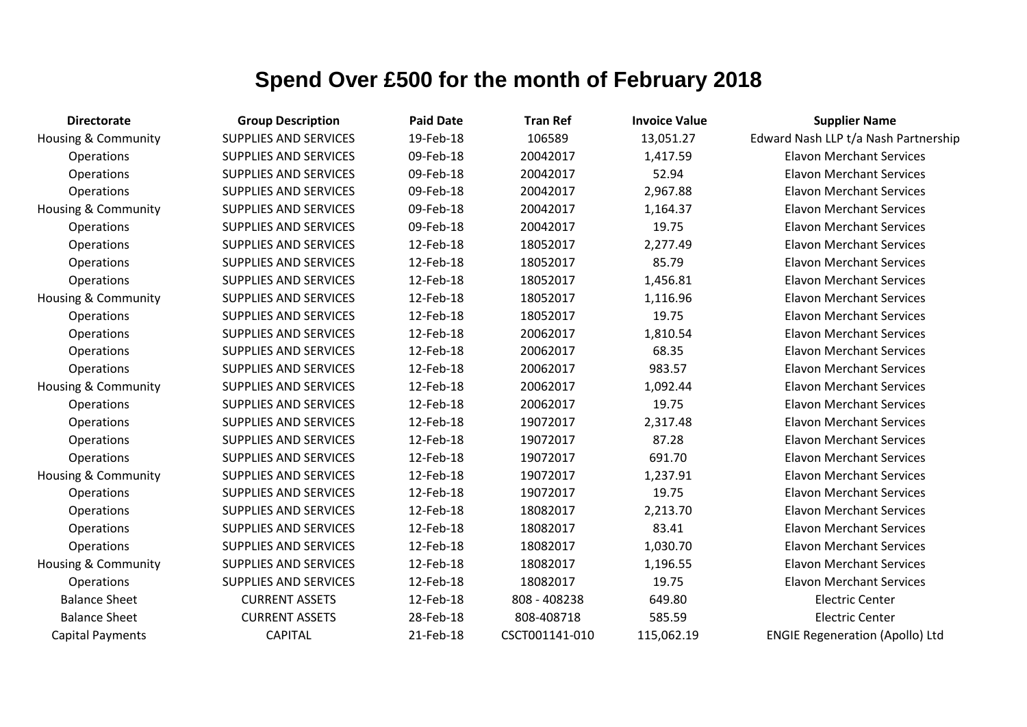| <b>Directorate</b>             | <b>Group Description</b>     | <b>Paid Date</b> | <b>Tran Ref</b> | <b>Invoice Value</b> | <b>Supplier Name</b>                   |
|--------------------------------|------------------------------|------------------|-----------------|----------------------|----------------------------------------|
| <b>Housing &amp; Community</b> | <b>SUPPLIES AND SERVICES</b> | 19-Feb-18        | 106589          | 13,051.27            | Edward Nash LLP t/a Nash Partnership   |
| Operations                     | <b>SUPPLIES AND SERVICES</b> | 09-Feb-18        | 20042017        | 1,417.59             | <b>Elavon Merchant Services</b>        |
| Operations                     | SUPPLIES AND SERVICES        | 09-Feb-18        | 20042017        | 52.94                | <b>Elavon Merchant Services</b>        |
| Operations                     | <b>SUPPLIES AND SERVICES</b> | 09-Feb-18        | 20042017        | 2,967.88             | <b>Elavon Merchant Services</b>        |
| <b>Housing &amp; Community</b> | <b>SUPPLIES AND SERVICES</b> | 09-Feb-18        | 20042017        | 1,164.37             | <b>Elavon Merchant Services</b>        |
| Operations                     | <b>SUPPLIES AND SERVICES</b> | 09-Feb-18        | 20042017        | 19.75                | <b>Elavon Merchant Services</b>        |
| Operations                     | SUPPLIES AND SERVICES        | 12-Feb-18        | 18052017        | 2,277.49             | <b>Elavon Merchant Services</b>        |
| Operations                     | SUPPLIES AND SERVICES        | 12-Feb-18        | 18052017        | 85.79                | <b>Elavon Merchant Services</b>        |
| Operations                     | <b>SUPPLIES AND SERVICES</b> | 12-Feb-18        | 18052017        | 1,456.81             | <b>Elavon Merchant Services</b>        |
| <b>Housing &amp; Community</b> | <b>SUPPLIES AND SERVICES</b> | 12-Feb-18        | 18052017        | 1,116.96             | <b>Elavon Merchant Services</b>        |
| Operations                     | SUPPLIES AND SERVICES        | 12-Feb-18        | 18052017        | 19.75                | <b>Elavon Merchant Services</b>        |
| Operations                     | <b>SUPPLIES AND SERVICES</b> | 12-Feb-18        | 20062017        | 1,810.54             | <b>Elavon Merchant Services</b>        |
| Operations                     | SUPPLIES AND SERVICES        | 12-Feb-18        | 20062017        | 68.35                | <b>Elavon Merchant Services</b>        |
| Operations                     | <b>SUPPLIES AND SERVICES</b> | 12-Feb-18        | 20062017        | 983.57               | <b>Elavon Merchant Services</b>        |
| <b>Housing &amp; Community</b> | SUPPLIES AND SERVICES        | 12-Feb-18        | 20062017        | 1,092.44             | <b>Elavon Merchant Services</b>        |
| Operations                     | <b>SUPPLIES AND SERVICES</b> | 12-Feb-18        | 20062017        | 19.75                | <b>Elavon Merchant Services</b>        |
| Operations                     | SUPPLIES AND SERVICES        | 12-Feb-18        | 19072017        | 2,317.48             | <b>Elavon Merchant Services</b>        |
| Operations                     | <b>SUPPLIES AND SERVICES</b> | 12-Feb-18        | 19072017        | 87.28                | <b>Elavon Merchant Services</b>        |
| Operations                     | SUPPLIES AND SERVICES        | 12-Feb-18        | 19072017        | 691.70               | <b>Elavon Merchant Services</b>        |
| <b>Housing &amp; Community</b> | <b>SUPPLIES AND SERVICES</b> | 12-Feb-18        | 19072017        | 1,237.91             | <b>Elavon Merchant Services</b>        |
| Operations                     | SUPPLIES AND SERVICES        | 12-Feb-18        | 19072017        | 19.75                | <b>Elavon Merchant Services</b>        |
| Operations                     | <b>SUPPLIES AND SERVICES</b> | 12-Feb-18        | 18082017        | 2,213.70             | <b>Elavon Merchant Services</b>        |
| Operations                     | SUPPLIES AND SERVICES        | 12-Feb-18        | 18082017        | 83.41                | <b>Elavon Merchant Services</b>        |
| Operations                     | <b>SUPPLIES AND SERVICES</b> | 12-Feb-18        | 18082017        | 1,030.70             | <b>Elavon Merchant Services</b>        |
| Housing & Community            | SUPPLIES AND SERVICES        | 12-Feb-18        | 18082017        | 1,196.55             | <b>Elavon Merchant Services</b>        |
| Operations                     | <b>SUPPLIES AND SERVICES</b> | 12-Feb-18        | 18082017        | 19.75                | <b>Elavon Merchant Services</b>        |
| <b>Balance Sheet</b>           | <b>CURRENT ASSETS</b>        | 12-Feb-18        | 808 - 408238    | 649.80               | <b>Electric Center</b>                 |
| <b>Balance Sheet</b>           | <b>CURRENT ASSETS</b>        | 28-Feb-18        | 808-408718      | 585.59               | <b>Electric Center</b>                 |
| <b>Capital Payments</b>        | <b>CAPITAL</b>               | 21-Feb-18        | CSCT001141-010  | 115,062.19           | <b>ENGIE Regeneration (Apollo) Ltd</b> |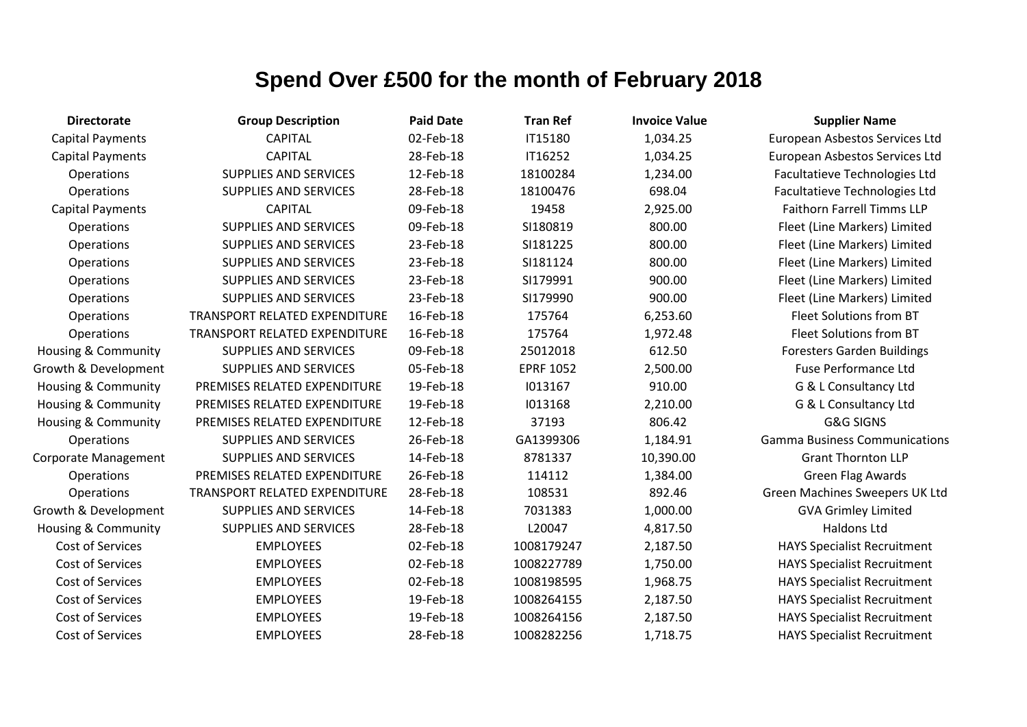| <b>Directorate</b>             | <b>Group Description</b>             | <b>Paid Date</b> | <b>Tran Ref</b>  | <b>Invoice Value</b> | <b>Supplier Name</b>                 |
|--------------------------------|--------------------------------------|------------------|------------------|----------------------|--------------------------------------|
| <b>Capital Payments</b>        | <b>CAPITAL</b>                       | 02-Feb-18        | IT15180          | 1,034.25             | European Asbestos Services Ltd       |
| <b>Capital Payments</b>        | <b>CAPITAL</b>                       | 28-Feb-18        | IT16252          | 1,034.25             | European Asbestos Services Ltd       |
| Operations                     | <b>SUPPLIES AND SERVICES</b>         | 12-Feb-18        | 18100284         | 1,234.00             | Facultatieve Technologies Ltd        |
| Operations                     | <b>SUPPLIES AND SERVICES</b>         | 28-Feb-18        | 18100476         | 698.04               | Facultatieve Technologies Ltd        |
| <b>Capital Payments</b>        | <b>CAPITAL</b>                       | 09-Feb-18        | 19458            | 2,925.00             | <b>Faithorn Farrell Timms LLP</b>    |
| Operations                     | <b>SUPPLIES AND SERVICES</b>         | 09-Feb-18        | SI180819         | 800.00               | Fleet (Line Markers) Limited         |
| Operations                     | SUPPLIES AND SERVICES                | 23-Feb-18        | SI181225         | 800.00               | Fleet (Line Markers) Limited         |
| Operations                     | <b>SUPPLIES AND SERVICES</b>         | 23-Feb-18        | SI181124         | 800.00               | Fleet (Line Markers) Limited         |
| Operations                     | <b>SUPPLIES AND SERVICES</b>         | 23-Feb-18        | SI179991         | 900.00               | Fleet (Line Markers) Limited         |
| Operations                     | <b>SUPPLIES AND SERVICES</b>         | 23-Feb-18        | SI179990         | 900.00               | Fleet (Line Markers) Limited         |
| Operations                     | <b>TRANSPORT RELATED EXPENDITURE</b> | 16-Feb-18        | 175764           | 6,253.60             | Fleet Solutions from BT              |
| Operations                     | <b>TRANSPORT RELATED EXPENDITURE</b> | 16-Feb-18        | 175764           | 1,972.48             | Fleet Solutions from BT              |
| Housing & Community            | <b>SUPPLIES AND SERVICES</b>         | 09-Feb-18        | 25012018         | 612.50               | <b>Foresters Garden Buildings</b>    |
| Growth & Development           | <b>SUPPLIES AND SERVICES</b>         | 05-Feb-18        | <b>EPRF 1052</b> | 2,500.00             | <b>Fuse Performance Ltd</b>          |
| Housing & Community            | PREMISES RELATED EXPENDITURE         | 19-Feb-18        | 1013167          | 910.00               | G & L Consultancy Ltd                |
| <b>Housing &amp; Community</b> | PREMISES RELATED EXPENDITURE         | 19-Feb-18        | 1013168          | 2,210.00             | G & L Consultancy Ltd                |
| Housing & Community            | PREMISES RELATED EXPENDITURE         | 12-Feb-18        | 37193            | 806.42               | <b>G&amp;G SIGNS</b>                 |
| <b>Operations</b>              | <b>SUPPLIES AND SERVICES</b>         | 26-Feb-18        | GA1399306        | 1,184.91             | <b>Gamma Business Communications</b> |
| Corporate Management           | <b>SUPPLIES AND SERVICES</b>         | 14-Feb-18        | 8781337          | 10,390.00            | <b>Grant Thornton LLP</b>            |
| <b>Operations</b>              | PREMISES RELATED EXPENDITURE         | 26-Feb-18        | 114112           | 1,384.00             | <b>Green Flag Awards</b>             |
| Operations                     | TRANSPORT RELATED EXPENDITURE        | 28-Feb-18        | 108531           | 892.46               | Green Machines Sweepers UK Ltd       |
| Growth & Development           | <b>SUPPLIES AND SERVICES</b>         | 14-Feb-18        | 7031383          | 1,000.00             | <b>GVA Grimley Limited</b>           |
| <b>Housing &amp; Community</b> | <b>SUPPLIES AND SERVICES</b>         | 28-Feb-18        | L20047           | 4,817.50             | Haldons Ltd                          |
| Cost of Services               | <b>EMPLOYEES</b>                     | 02-Feb-18        | 1008179247       | 2,187.50             | <b>HAYS Specialist Recruitment</b>   |
| Cost of Services               | <b>EMPLOYEES</b>                     | 02-Feb-18        | 1008227789       | 1,750.00             | <b>HAYS Specialist Recruitment</b>   |
| Cost of Services               | <b>EMPLOYEES</b>                     | 02-Feb-18        | 1008198595       | 1,968.75             | <b>HAYS Specialist Recruitment</b>   |
| Cost of Services               | <b>EMPLOYEES</b>                     | 19-Feb-18        | 1008264155       | 2,187.50             | <b>HAYS Specialist Recruitment</b>   |
| Cost of Services               | <b>EMPLOYEES</b>                     | 19-Feb-18        | 1008264156       | 2,187.50             | <b>HAYS Specialist Recruitment</b>   |
| Cost of Services               | <b>EMPLOYEES</b>                     | 28-Feb-18        | 1008282256       | 1,718.75             | <b>HAYS Specialist Recruitment</b>   |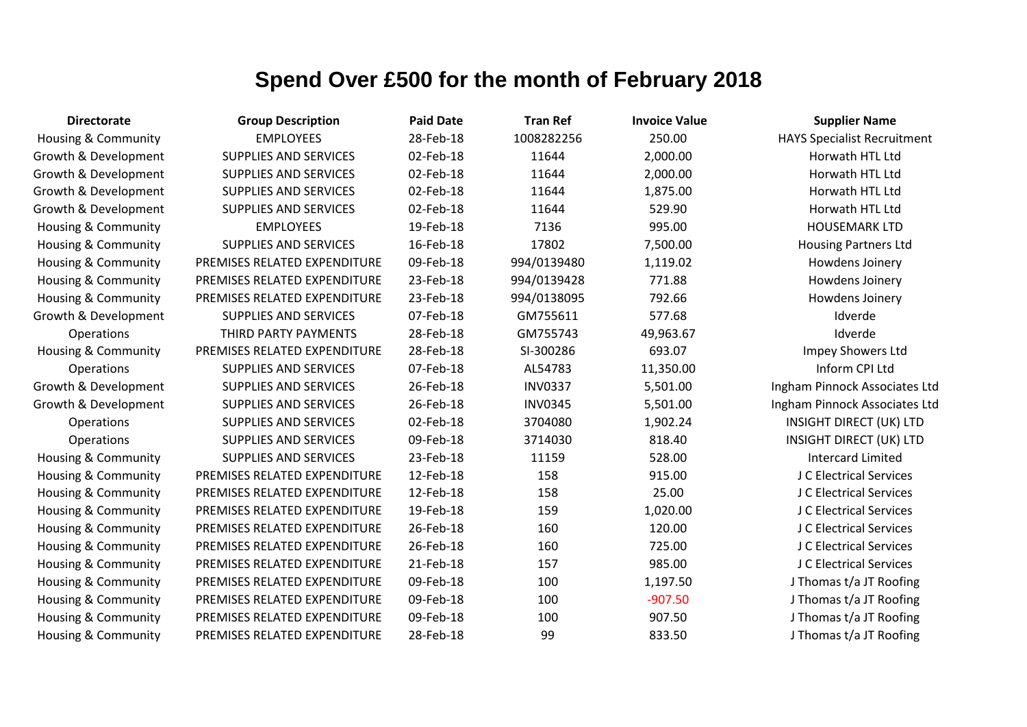| <b>Directorate</b>             | <b>Group Description</b>     | <b>Paid Date</b> | <b>Tran Ref</b> | <b>Invoice Value</b> | <b>Supplier Name</b>               |
|--------------------------------|------------------------------|------------------|-----------------|----------------------|------------------------------------|
| <b>Housing &amp; Community</b> | <b>EMPLOYEES</b>             | 28-Feb-18        | 1008282256      | 250.00               | <b>HAYS Specialist Recruitment</b> |
| Growth & Development           | <b>SUPPLIES AND SERVICES</b> | 02-Feb-18        | 11644           | 2,000.00             | Horwath HTL Ltd                    |
| Growth & Development           | <b>SUPPLIES AND SERVICES</b> | 02-Feb-18        | 11644           | 2,000.00             | Horwath HTL Ltd                    |
| Growth & Development           | SUPPLIES AND SERVICES        | 02-Feb-18        | 11644           | 1,875.00             | Horwath HTL Ltd                    |
| Growth & Development           | SUPPLIES AND SERVICES        | 02-Feb-18        | 11644           | 529.90               | Horwath HTL Ltd                    |
| Housing & Community            | <b>EMPLOYEES</b>             | 19-Feb-18        | 7136            | 995.00               | <b>HOUSEMARK LTD</b>               |
| Housing & Community            | <b>SUPPLIES AND SERVICES</b> | 16-Feb-18        | 17802           | 7,500.00             | <b>Housing Partners Ltd</b>        |
| <b>Housing &amp; Community</b> | PREMISES RELATED EXPENDITURE | 09-Feb-18        | 994/0139480     | 1,119.02             | Howdens Joinery                    |
| Housing & Community            | PREMISES RELATED EXPENDITURE | 23-Feb-18        | 994/0139428     | 771.88               | Howdens Joinery                    |
| Housing & Community            | PREMISES RELATED EXPENDITURE | 23-Feb-18        | 994/0138095     | 792.66               | Howdens Joinery                    |
| Growth & Development           | SUPPLIES AND SERVICES        | 07-Feb-18        | GM755611        | 577.68               | Idverde                            |
| Operations                     | THIRD PARTY PAYMENTS         | 28-Feb-18        | GM755743        | 49,963.67            | Idverde                            |
| <b>Housing &amp; Community</b> | PREMISES RELATED EXPENDITURE | 28-Feb-18        | SI-300286       | 693.07               | Impey Showers Ltd                  |
| Operations                     | <b>SUPPLIES AND SERVICES</b> | 07-Feb-18        | AL54783         | 11,350.00            | Inform CPI Ltd                     |
| Growth & Development           | SUPPLIES AND SERVICES        | 26-Feb-18        | <b>INV0337</b>  | 5,501.00             | Ingham Pinnock Associates Ltd      |
| Growth & Development           | SUPPLIES AND SERVICES        | 26-Feb-18        | <b>INV0345</b>  | 5,501.00             | Ingham Pinnock Associates Ltd      |
| Operations                     | SUPPLIES AND SERVICES        | 02-Feb-18        | 3704080         | 1,902.24             | <b>INSIGHT DIRECT (UK) LTD</b>     |
| Operations                     | SUPPLIES AND SERVICES        | 09-Feb-18        | 3714030         | 818.40               | <b>INSIGHT DIRECT (UK) LTD</b>     |
| <b>Housing &amp; Community</b> | SUPPLIES AND SERVICES        | 23-Feb-18        | 11159           | 528.00               | <b>Intercard Limited</b>           |
| Housing & Community            | PREMISES RELATED EXPENDITURE | 12-Feb-18        | 158             | 915.00               | J C Electrical Services            |
| <b>Housing &amp; Community</b> | PREMISES RELATED EXPENDITURE | 12-Feb-18        | 158             | 25.00                | J C Electrical Services            |
| <b>Housing &amp; Community</b> | PREMISES RELATED EXPENDITURE | 19-Feb-18        | 159             | 1,020.00             | J C Electrical Services            |
| <b>Housing &amp; Community</b> | PREMISES RELATED EXPENDITURE | 26-Feb-18        | 160             | 120.00               | J C Electrical Services            |
| <b>Housing &amp; Community</b> | PREMISES RELATED EXPENDITURE | 26-Feb-18        | 160             | 725.00               | J C Electrical Services            |
| <b>Housing &amp; Community</b> | PREMISES RELATED EXPENDITURE | 21-Feb-18        | 157             | 985.00               | J C Electrical Services            |
| <b>Housing &amp; Community</b> | PREMISES RELATED EXPENDITURE | 09-Feb-18        | 100             | 1,197.50             | J Thomas t/a JT Roofing            |
| <b>Housing &amp; Community</b> | PREMISES RELATED EXPENDITURE | 09-Feb-18        | 100             | $-907.50$            | J Thomas t/a JT Roofing            |
| <b>Housing &amp; Community</b> | PREMISES RELATED EXPENDITURE | 09-Feb-18        | 100             | 907.50               | J Thomas t/a JT Roofing            |
| Housing & Community            | PREMISES RELATED EXPENDITURE | 28-Feb-18        | 99              | 833.50               | J Thomas t/a JT Roofing            |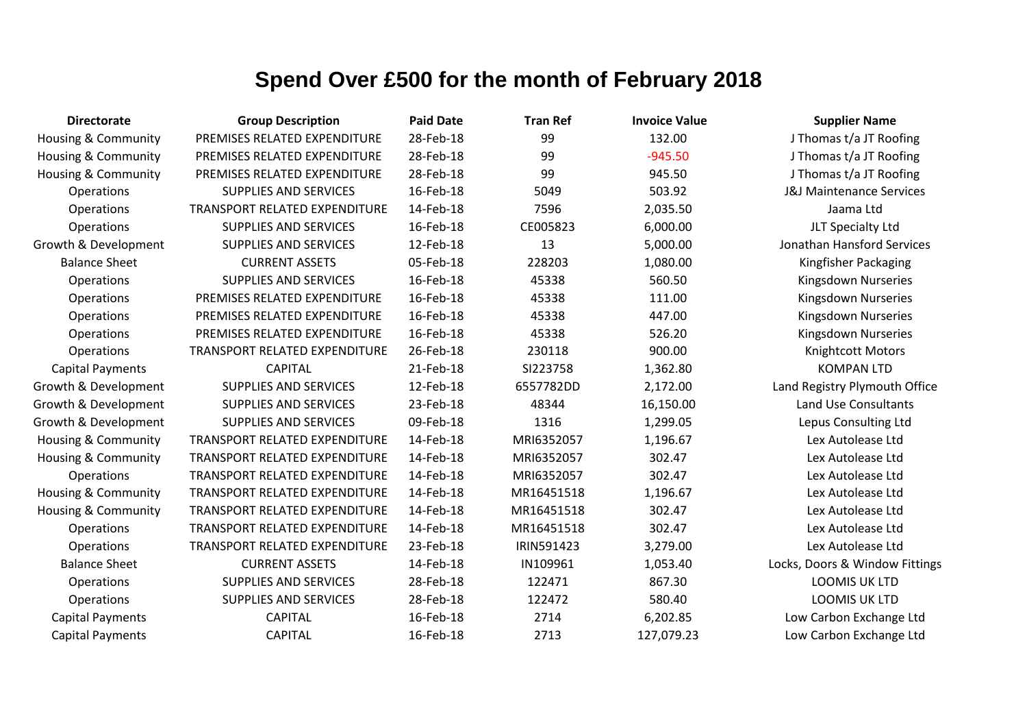| <b>Directorate</b>             | <b>Group Description</b>             | <b>Paid Date</b> | <b>Tran Ref</b> | <b>Invoice Value</b> | <b>Supplier Name</b>                |
|--------------------------------|--------------------------------------|------------------|-----------------|----------------------|-------------------------------------|
| Housing & Community            | PREMISES RELATED EXPENDITURE         | 28-Feb-18        | 99              | 132.00               | J Thomas t/a JT Roofing             |
| Housing & Community            | PREMISES RELATED EXPENDITURE         | 28-Feb-18        | 99              | $-945.50$            | J Thomas t/a JT Roofing             |
| Housing & Community            | PREMISES RELATED EXPENDITURE         | 28-Feb-18        | 99              | 945.50               | J Thomas t/a JT Roofing             |
| Operations                     | <b>SUPPLIES AND SERVICES</b>         | 16-Feb-18        | 5049            | 503.92               | <b>J&amp;J Maintenance Services</b> |
| Operations                     | TRANSPORT RELATED EXPENDITURE        | 14-Feb-18        | 7596            | 2,035.50             | Jaama Ltd                           |
| Operations                     | <b>SUPPLIES AND SERVICES</b>         | 16-Feb-18        | CE005823        | 6,000.00             | JLT Specialty Ltd                   |
| Growth & Development           | <b>SUPPLIES AND SERVICES</b>         | 12-Feb-18        | 13              | 5,000.00             | Jonathan Hansford Services          |
| <b>Balance Sheet</b>           | <b>CURRENT ASSETS</b>                | 05-Feb-18        | 228203          | 1,080.00             | Kingfisher Packaging                |
| Operations                     | <b>SUPPLIES AND SERVICES</b>         | 16-Feb-18        | 45338           | 560.50               | Kingsdown Nurseries                 |
| Operations                     | PREMISES RELATED EXPENDITURE         | 16-Feb-18        | 45338           | 111.00               | Kingsdown Nurseries                 |
| Operations                     | PREMISES RELATED EXPENDITURE         | 16-Feb-18        | 45338           | 447.00               | Kingsdown Nurseries                 |
| Operations                     | PREMISES RELATED EXPENDITURE         | 16-Feb-18        | 45338           | 526.20               | Kingsdown Nurseries                 |
| Operations                     | TRANSPORT RELATED EXPENDITURE        | 26-Feb-18        | 230118          | 900.00               | Knightcott Motors                   |
| <b>Capital Payments</b>        | <b>CAPITAL</b>                       | 21-Feb-18        | SI223758        | 1,362.80             | <b>KOMPAN LTD</b>                   |
| Growth & Development           | <b>SUPPLIES AND SERVICES</b>         | 12-Feb-18        | 6557782DD       | 2,172.00             | Land Registry Plymouth Office       |
| Growth & Development           | <b>SUPPLIES AND SERVICES</b>         | 23-Feb-18        | 48344           | 16,150.00            | Land Use Consultants                |
| Growth & Development           | <b>SUPPLIES AND SERVICES</b>         | 09-Feb-18        | 1316            | 1,299.05             | Lepus Consulting Ltd                |
| Housing & Community            | TRANSPORT RELATED EXPENDITURE        | 14-Feb-18        | MRI6352057      | 1,196.67             | Lex Autolease Ltd                   |
| Housing & Community            | TRANSPORT RELATED EXPENDITURE        | 14-Feb-18        | MRI6352057      | 302.47               | Lex Autolease Ltd                   |
| Operations                     | <b>TRANSPORT RELATED EXPENDITURE</b> | 14-Feb-18        | MRI6352057      | 302.47               | Lex Autolease Ltd                   |
| <b>Housing &amp; Community</b> | TRANSPORT RELATED EXPENDITURE        | 14-Feb-18        | MR16451518      | 1,196.67             | Lex Autolease Ltd                   |
| Housing & Community            | TRANSPORT RELATED EXPENDITURE        | 14-Feb-18        | MR16451518      | 302.47               | Lex Autolease Ltd                   |
| Operations                     | <b>TRANSPORT RELATED EXPENDITURE</b> | 14-Feb-18        | MR16451518      | 302.47               | Lex Autolease Ltd                   |
| Operations                     | <b>TRANSPORT RELATED EXPENDITURE</b> | 23-Feb-18        | IRIN591423      | 3,279.00             | Lex Autolease Ltd                   |
| <b>Balance Sheet</b>           | <b>CURRENT ASSETS</b>                | 14-Feb-18        | IN109961        | 1,053.40             | Locks, Doors & Window Fittings      |
| Operations                     | <b>SUPPLIES AND SERVICES</b>         | 28-Feb-18        | 122471          | 867.30               | LOOMIS UK LTD                       |
| Operations                     | <b>SUPPLIES AND SERVICES</b>         | 28-Feb-18        | 122472          | 580.40               | <b>LOOMIS UK LTD</b>                |
| <b>Capital Payments</b>        | <b>CAPITAL</b>                       | 16-Feb-18        | 2714            | 6,202.85             | Low Carbon Exchange Ltd             |
| <b>Capital Payments</b>        | <b>CAPITAL</b>                       | 16-Feb-18        | 2713            | 127,079.23           | Low Carbon Exchange Ltd             |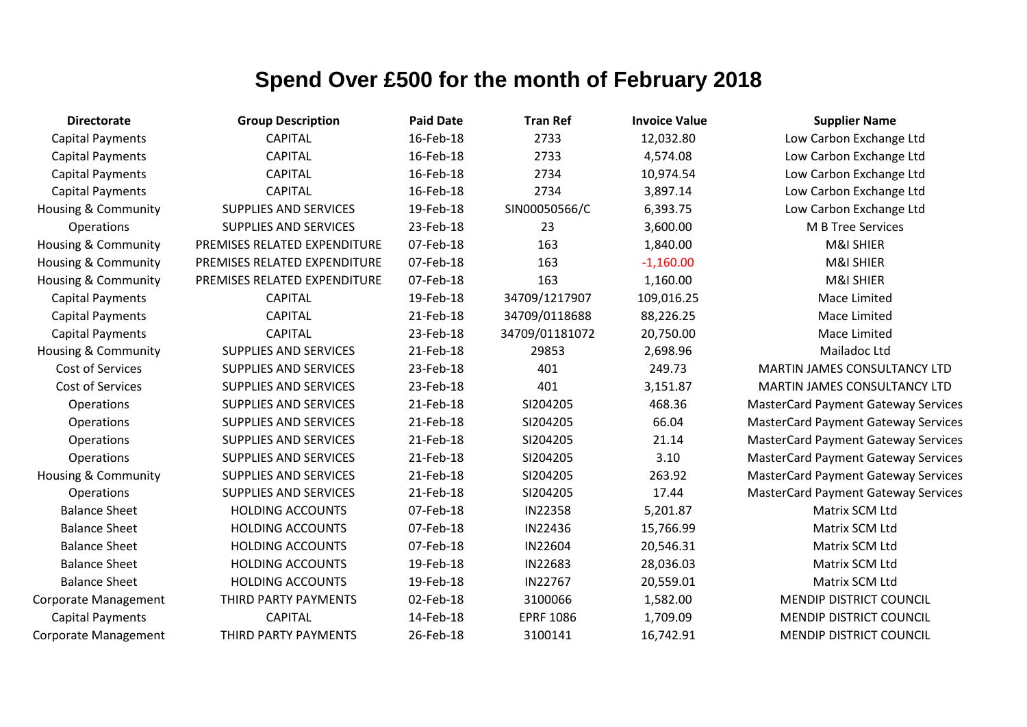| <b>Directorate</b>             | <b>Group Description</b>     | <b>Paid Date</b> | <b>Tran Ref</b>  | <b>Invoice Value</b> | <b>Supplier Name</b>                       |
|--------------------------------|------------------------------|------------------|------------------|----------------------|--------------------------------------------|
| <b>Capital Payments</b>        | <b>CAPITAL</b>               | 16-Feb-18        | 2733             | 12,032.80            | Low Carbon Exchange Ltd                    |
| <b>Capital Payments</b>        | <b>CAPITAL</b>               | 16-Feb-18        | 2733             | 4,574.08             | Low Carbon Exchange Ltd                    |
| <b>Capital Payments</b>        | <b>CAPITAL</b>               | 16-Feb-18        | 2734             | 10,974.54            | Low Carbon Exchange Ltd                    |
| <b>Capital Payments</b>        | <b>CAPITAL</b>               | 16-Feb-18        | 2734             | 3,897.14             | Low Carbon Exchange Ltd                    |
| Housing & Community            | <b>SUPPLIES AND SERVICES</b> | 19-Feb-18        | SIN00050566/C    | 6,393.75             | Low Carbon Exchange Ltd                    |
| Operations                     | <b>SUPPLIES AND SERVICES</b> | 23-Feb-18        | 23               | 3,600.00             | M B Tree Services                          |
| <b>Housing &amp; Community</b> | PREMISES RELATED EXPENDITURE | 07-Feb-18        | 163              | 1,840.00             | M&I SHIER                                  |
| <b>Housing &amp; Community</b> | PREMISES RELATED EXPENDITURE | 07-Feb-18        | 163              | $-1,160.00$          | M&I SHIER                                  |
| <b>Housing &amp; Community</b> | PREMISES RELATED EXPENDITURE | 07-Feb-18        | 163              | 1,160.00             | M&I SHIER                                  |
| <b>Capital Payments</b>        | <b>CAPITAL</b>               | 19-Feb-18        | 34709/1217907    | 109,016.25           | Mace Limited                               |
| <b>Capital Payments</b>        | <b>CAPITAL</b>               | 21-Feb-18        | 34709/0118688    | 88,226.25            | Mace Limited                               |
| <b>Capital Payments</b>        | <b>CAPITAL</b>               | 23-Feb-18        | 34709/01181072   | 20,750.00            | Mace Limited                               |
| <b>Housing &amp; Community</b> | <b>SUPPLIES AND SERVICES</b> | 21-Feb-18        | 29853            | 2,698.96             | Mailadoc Ltd                               |
| Cost of Services               | <b>SUPPLIES AND SERVICES</b> | 23-Feb-18        | 401              | 249.73               | MARTIN JAMES CONSULTANCY LTD               |
| Cost of Services               | <b>SUPPLIES AND SERVICES</b> | 23-Feb-18        | 401              | 3,151.87             | MARTIN JAMES CONSULTANCY LTD               |
| Operations                     | <b>SUPPLIES AND SERVICES</b> | 21-Feb-18        | SI204205         | 468.36               | <b>MasterCard Payment Gateway Services</b> |
| Operations                     | <b>SUPPLIES AND SERVICES</b> | 21-Feb-18        | SI204205         | 66.04                | <b>MasterCard Payment Gateway Services</b> |
| Operations                     | <b>SUPPLIES AND SERVICES</b> | 21-Feb-18        | SI204205         | 21.14                | <b>MasterCard Payment Gateway Services</b> |
| Operations                     | <b>SUPPLIES AND SERVICES</b> | 21-Feb-18        | SI204205         | 3.10                 | <b>MasterCard Payment Gateway Services</b> |
| <b>Housing &amp; Community</b> | <b>SUPPLIES AND SERVICES</b> | 21-Feb-18        | SI204205         | 263.92               | <b>MasterCard Payment Gateway Services</b> |
| Operations                     | <b>SUPPLIES AND SERVICES</b> | 21-Feb-18        | SI204205         | 17.44                | <b>MasterCard Payment Gateway Services</b> |
| <b>Balance Sheet</b>           | <b>HOLDING ACCOUNTS</b>      | 07-Feb-18        | <b>IN22358</b>   | 5,201.87             | Matrix SCM Ltd                             |
| <b>Balance Sheet</b>           | <b>HOLDING ACCOUNTS</b>      | 07-Feb-18        | IN22436          | 15,766.99            | Matrix SCM Ltd                             |
| <b>Balance Sheet</b>           | <b>HOLDING ACCOUNTS</b>      | 07-Feb-18        | IN22604          | 20,546.31            | Matrix SCM Ltd                             |
| <b>Balance Sheet</b>           | <b>HOLDING ACCOUNTS</b>      | 19-Feb-18        | IN22683          | 28,036.03            | Matrix SCM Ltd                             |
| <b>Balance Sheet</b>           | <b>HOLDING ACCOUNTS</b>      | 19-Feb-18        | IN22767          | 20,559.01            | Matrix SCM Ltd                             |
| <b>Corporate Management</b>    | THIRD PARTY PAYMENTS         | 02-Feb-18        | 3100066          | 1,582.00             | <b>MENDIP DISTRICT COUNCIL</b>             |
| <b>Capital Payments</b>        | <b>CAPITAL</b>               | 14-Feb-18        | <b>EPRF 1086</b> | 1,709.09             | <b>MENDIP DISTRICT COUNCIL</b>             |
| <b>Corporate Management</b>    | THIRD PARTY PAYMENTS         | 26-Feb-18        | 3100141          | 16,742.91            | <b>MENDIP DISTRICT COUNCIL</b>             |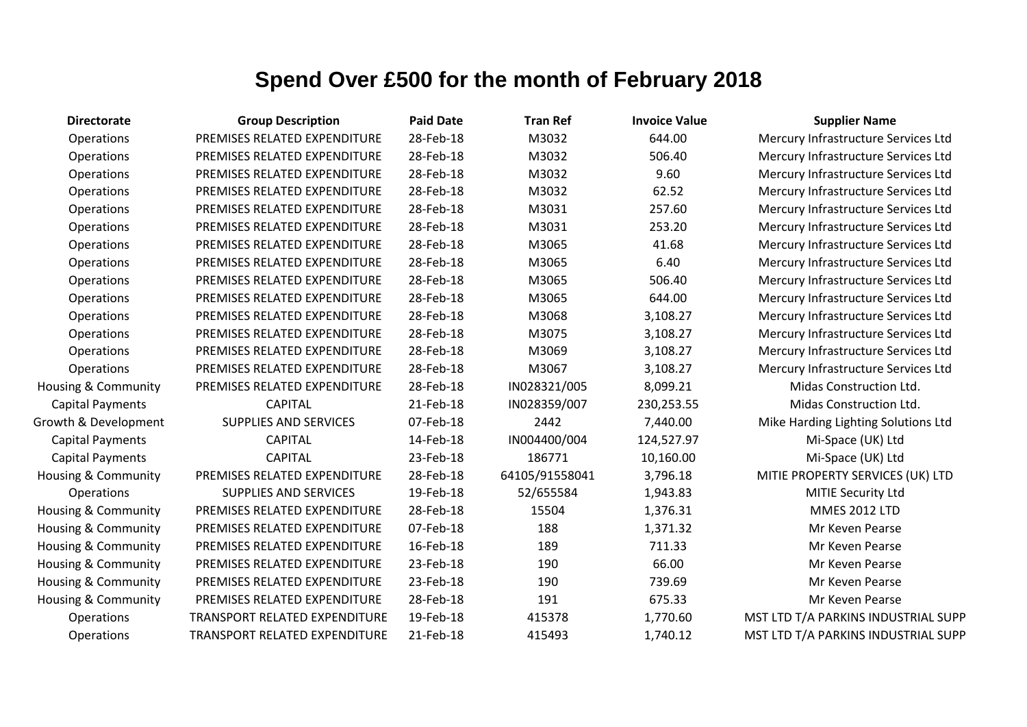| <b>Directorate</b>             | <b>Group Description</b>      | <b>Paid Date</b> | <b>Tran Ref</b> | <b>Invoice Value</b> | <b>Supplier Name</b>                |
|--------------------------------|-------------------------------|------------------|-----------------|----------------------|-------------------------------------|
| Operations                     | PREMISES RELATED EXPENDITURE  | 28-Feb-18        | M3032           | 644.00               | Mercury Infrastructure Services Ltd |
| Operations                     | PREMISES RELATED EXPENDITURE  | 28-Feb-18        | M3032           | 506.40               | Mercury Infrastructure Services Ltd |
| Operations                     | PREMISES RELATED EXPENDITURE  | 28-Feb-18        | M3032           | 9.60                 | Mercury Infrastructure Services Ltd |
| Operations                     | PREMISES RELATED EXPENDITURE  | 28-Feb-18        | M3032           | 62.52                | Mercury Infrastructure Services Ltd |
| Operations                     | PREMISES RELATED EXPENDITURE  | 28-Feb-18        | M3031           | 257.60               | Mercury Infrastructure Services Ltd |
| Operations                     | PREMISES RELATED EXPENDITURE  | 28-Feb-18        | M3031           | 253.20               | Mercury Infrastructure Services Ltd |
| Operations                     | PREMISES RELATED EXPENDITURE  | 28-Feb-18        | M3065           | 41.68                | Mercury Infrastructure Services Ltd |
| Operations                     | PREMISES RELATED EXPENDITURE  | 28-Feb-18        | M3065           | 6.40                 | Mercury Infrastructure Services Ltd |
| Operations                     | PREMISES RELATED EXPENDITURE  | 28-Feb-18        | M3065           | 506.40               | Mercury Infrastructure Services Ltd |
| Operations                     | PREMISES RELATED EXPENDITURE  | 28-Feb-18        | M3065           | 644.00               | Mercury Infrastructure Services Ltd |
| Operations                     | PREMISES RELATED EXPENDITURE  | 28-Feb-18        | M3068           | 3,108.27             | Mercury Infrastructure Services Ltd |
| Operations                     | PREMISES RELATED EXPENDITURE  | 28-Feb-18        | M3075           | 3,108.27             | Mercury Infrastructure Services Ltd |
| Operations                     | PREMISES RELATED EXPENDITURE  | 28-Feb-18        | M3069           | 3,108.27             | Mercury Infrastructure Services Ltd |
| Operations                     | PREMISES RELATED EXPENDITURE  | 28-Feb-18        | M3067           | 3,108.27             | Mercury Infrastructure Services Ltd |
| <b>Housing &amp; Community</b> | PREMISES RELATED EXPENDITURE  | 28-Feb-18        | IN028321/005    | 8,099.21             | Midas Construction Ltd.             |
| Capital Payments               | <b>CAPITAL</b>                | 21-Feb-18        | IN028359/007    | 230,253.55           | Midas Construction Ltd.             |
| Growth & Development           | SUPPLIES AND SERVICES         | 07-Feb-18        | 2442            | 7,440.00             | Mike Harding Lighting Solutions Ltd |
| <b>Capital Payments</b>        | <b>CAPITAL</b>                | 14-Feb-18        | IN004400/004    | 124,527.97           | Mi-Space (UK) Ltd                   |
| <b>Capital Payments</b>        | <b>CAPITAL</b>                | 23-Feb-18        | 186771          | 10,160.00            | Mi-Space (UK) Ltd                   |
| Housing & Community            | PREMISES RELATED EXPENDITURE  | 28-Feb-18        | 64105/91558041  | 3,796.18             | MITIE PROPERTY SERVICES (UK) LTD    |
| Operations                     | <b>SUPPLIES AND SERVICES</b>  | 19-Feb-18        | 52/655584       | 1,943.83             | MITIE Security Ltd                  |
| Housing & Community            | PREMISES RELATED EXPENDITURE  | 28-Feb-18        | 15504           | 1,376.31             | <b>MMES 2012 LTD</b>                |
| Housing & Community            | PREMISES RELATED EXPENDITURE  | 07-Feb-18        | 188             | 1,371.32             | Mr Keven Pearse                     |
| Housing & Community            | PREMISES RELATED EXPENDITURE  | 16-Feb-18        | 189             | 711.33               | Mr Keven Pearse                     |
| Housing & Community            | PREMISES RELATED EXPENDITURE  | 23-Feb-18        | 190             | 66.00                | Mr Keven Pearse                     |
| Housing & Community            | PREMISES RELATED EXPENDITURE  | 23-Feb-18        | 190             | 739.69               | Mr Keven Pearse                     |
| Housing & Community            | PREMISES RELATED EXPENDITURE  | 28-Feb-18        | 191             | 675.33               | Mr Keven Pearse                     |
| Operations                     | TRANSPORT RELATED EXPENDITURE | 19-Feb-18        | 415378          | 1,770.60             | MST LTD T/A PARKINS INDUSTRIAL SUPP |
| Operations                     | TRANSPORT RELATED EXPENDITURE | 21-Feb-18        | 415493          | 1,740.12             | MST LTD T/A PARKINS INDUSTRIAL SUPP |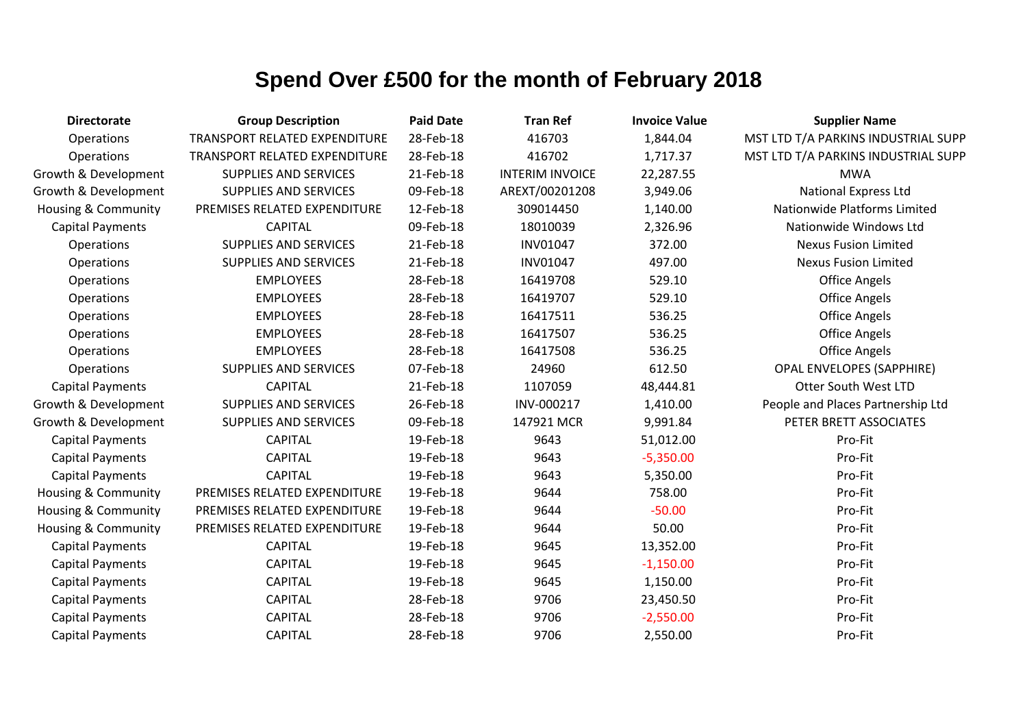| <b>Directorate</b>             | <b>Group Description</b>      | <b>Paid Date</b> | <b>Tran Ref</b>        | <b>Invoice Value</b> | <b>Supplier Name</b>                |
|--------------------------------|-------------------------------|------------------|------------------------|----------------------|-------------------------------------|
| Operations                     | TRANSPORT RELATED EXPENDITURE | 28-Feb-18        | 416703                 | 1,844.04             | MST LTD T/A PARKINS INDUSTRIAL SUPP |
| Operations                     | TRANSPORT RELATED EXPENDITURE | 28-Feb-18        | 416702                 | 1,717.37             | MST LTD T/A PARKINS INDUSTRIAL SUPP |
| Growth & Development           | SUPPLIES AND SERVICES         | 21-Feb-18        | <b>INTERIM INVOICE</b> | 22,287.55            | <b>MWA</b>                          |
| Growth & Development           | SUPPLIES AND SERVICES         | 09-Feb-18        | AREXT/00201208         | 3,949.06             | <b>National Express Ltd</b>         |
| <b>Housing &amp; Community</b> | PREMISES RELATED EXPENDITURE  | 12-Feb-18        | 309014450              | 1,140.00             | Nationwide Platforms Limited        |
| <b>Capital Payments</b>        | <b>CAPITAL</b>                | 09-Feb-18        | 18010039               | 2,326.96             | Nationwide Windows Ltd              |
| Operations                     | <b>SUPPLIES AND SERVICES</b>  | 21-Feb-18        | <b>INV01047</b>        | 372.00               | <b>Nexus Fusion Limited</b>         |
| Operations                     | <b>SUPPLIES AND SERVICES</b>  | 21-Feb-18        | <b>INV01047</b>        | 497.00               | <b>Nexus Fusion Limited</b>         |
| Operations                     | <b>EMPLOYEES</b>              | 28-Feb-18        | 16419708               | 529.10               | <b>Office Angels</b>                |
| Operations                     | <b>EMPLOYEES</b>              | 28-Feb-18        | 16419707               | 529.10               | <b>Office Angels</b>                |
| Operations                     | <b>EMPLOYEES</b>              | 28-Feb-18        | 16417511               | 536.25               | <b>Office Angels</b>                |
| Operations                     | <b>EMPLOYEES</b>              | 28-Feb-18        | 16417507               | 536.25               | <b>Office Angels</b>                |
| Operations                     | <b>EMPLOYEES</b>              | 28-Feb-18        | 16417508               | 536.25               | <b>Office Angels</b>                |
| Operations                     | <b>SUPPLIES AND SERVICES</b>  | 07-Feb-18        | 24960                  | 612.50               | <b>OPAL ENVELOPES (SAPPHIRE)</b>    |
| <b>Capital Payments</b>        | <b>CAPITAL</b>                | 21-Feb-18        | 1107059                | 48,444.81            | <b>Otter South West LTD</b>         |
| Growth & Development           | <b>SUPPLIES AND SERVICES</b>  | 26-Feb-18        | INV-000217             | 1,410.00             | People and Places Partnership Ltd   |
| Growth & Development           | <b>SUPPLIES AND SERVICES</b>  | 09-Feb-18        | 147921 MCR             | 9,991.84             | PETER BRETT ASSOCIATES              |
| <b>Capital Payments</b>        | <b>CAPITAL</b>                | 19-Feb-18        | 9643                   | 51,012.00            | Pro-Fit                             |
| <b>Capital Payments</b>        | <b>CAPITAL</b>                | 19-Feb-18        | 9643                   | $-5,350.00$          | Pro-Fit                             |
| <b>Capital Payments</b>        | <b>CAPITAL</b>                | 19-Feb-18        | 9643                   | 5,350.00             | Pro-Fit                             |
| <b>Housing &amp; Community</b> | PREMISES RELATED EXPENDITURE  | 19-Feb-18        | 9644                   | 758.00               | Pro-Fit                             |
| Housing & Community            | PREMISES RELATED EXPENDITURE  | 19-Feb-18        | 9644                   | $-50.00$             | Pro-Fit                             |
| <b>Housing &amp; Community</b> | PREMISES RELATED EXPENDITURE  | 19-Feb-18        | 9644                   | 50.00                | Pro-Fit                             |
| <b>Capital Payments</b>        | <b>CAPITAL</b>                | 19-Feb-18        | 9645                   | 13,352.00            | Pro-Fit                             |
| <b>Capital Payments</b>        | <b>CAPITAL</b>                | 19-Feb-18        | 9645                   | $-1,150.00$          | Pro-Fit                             |
| <b>Capital Payments</b>        | <b>CAPITAL</b>                | 19-Feb-18        | 9645                   | 1,150.00             | Pro-Fit                             |
| <b>Capital Payments</b>        | <b>CAPITAL</b>                | 28-Feb-18        | 9706                   | 23,450.50            | Pro-Fit                             |
| <b>Capital Payments</b>        | <b>CAPITAL</b>                | 28-Feb-18        | 9706                   | $-2,550.00$          | Pro-Fit                             |
| <b>Capital Payments</b>        | <b>CAPITAL</b>                | 28-Feb-18        | 9706                   | 2,550.00             | Pro-Fit                             |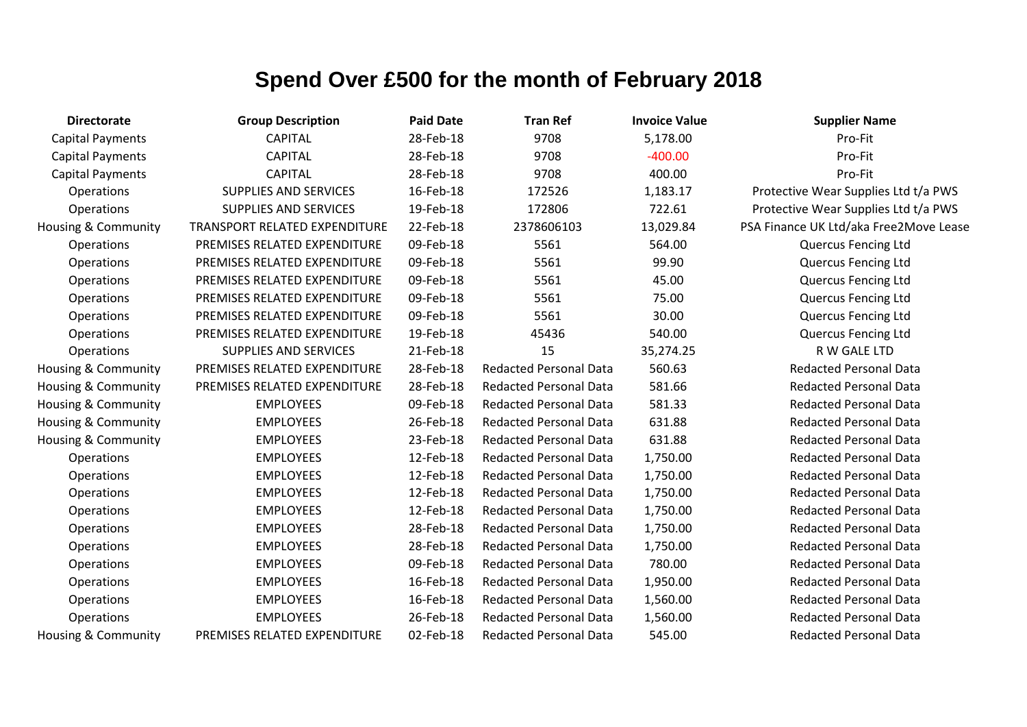| <b>Directorate</b>             | <b>Group Description</b>             | <b>Paid Date</b> | <b>Tran Ref</b>               | <b>Invoice Value</b> | <b>Supplier Name</b>                   |
|--------------------------------|--------------------------------------|------------------|-------------------------------|----------------------|----------------------------------------|
| <b>Capital Payments</b>        | <b>CAPITAL</b>                       | 28-Feb-18        | 9708                          | 5,178.00             | Pro-Fit                                |
| <b>Capital Payments</b>        | <b>CAPITAL</b>                       | 28-Feb-18        | 9708                          | $-400.00$            | Pro-Fit                                |
| <b>Capital Payments</b>        | <b>CAPITAL</b>                       | 28-Feb-18        | 9708                          | 400.00               | Pro-Fit                                |
| Operations                     | <b>SUPPLIES AND SERVICES</b>         | 16-Feb-18        | 172526                        | 1,183.17             | Protective Wear Supplies Ltd t/a PWS   |
| Operations                     | <b>SUPPLIES AND SERVICES</b>         | 19-Feb-18        | 172806                        | 722.61               | Protective Wear Supplies Ltd t/a PWS   |
| <b>Housing &amp; Community</b> | <b>TRANSPORT RELATED EXPENDITURE</b> | 22-Feb-18        | 2378606103                    | 13,029.84            | PSA Finance UK Ltd/aka Free2Move Lease |
| Operations                     | PREMISES RELATED EXPENDITURE         | 09-Feb-18        | 5561                          | 564.00               | <b>Quercus Fencing Ltd</b>             |
| Operations                     | PREMISES RELATED EXPENDITURE         | 09-Feb-18        | 5561                          | 99.90                | <b>Quercus Fencing Ltd</b>             |
| Operations                     | PREMISES RELATED EXPENDITURE         | 09-Feb-18        | 5561                          | 45.00                | <b>Quercus Fencing Ltd</b>             |
| Operations                     | PREMISES RELATED EXPENDITURE         | 09-Feb-18        | 5561                          | 75.00                | <b>Quercus Fencing Ltd</b>             |
| Operations                     | PREMISES RELATED EXPENDITURE         | 09-Feb-18        | 5561                          | 30.00                | <b>Quercus Fencing Ltd</b>             |
| Operations                     | PREMISES RELATED EXPENDITURE         | 19-Feb-18        | 45436                         | 540.00               | <b>Quercus Fencing Ltd</b>             |
| Operations                     | <b>SUPPLIES AND SERVICES</b>         | 21-Feb-18        | 15                            | 35,274.25            | R W GALE LTD                           |
| Housing & Community            | PREMISES RELATED EXPENDITURE         | 28-Feb-18        | <b>Redacted Personal Data</b> | 560.63               | <b>Redacted Personal Data</b>          |
| Housing & Community            | PREMISES RELATED EXPENDITURE         | 28-Feb-18        | <b>Redacted Personal Data</b> | 581.66               | <b>Redacted Personal Data</b>          |
| Housing & Community            | <b>EMPLOYEES</b>                     | 09-Feb-18        | <b>Redacted Personal Data</b> | 581.33               | <b>Redacted Personal Data</b>          |
| Housing & Community            | <b>EMPLOYEES</b>                     | 26-Feb-18        | <b>Redacted Personal Data</b> | 631.88               | <b>Redacted Personal Data</b>          |
| <b>Housing &amp; Community</b> | <b>EMPLOYEES</b>                     | 23-Feb-18        | <b>Redacted Personal Data</b> | 631.88               | <b>Redacted Personal Data</b>          |
| Operations                     | <b>EMPLOYEES</b>                     | 12-Feb-18        | <b>Redacted Personal Data</b> | 1,750.00             | <b>Redacted Personal Data</b>          |
| Operations                     | <b>EMPLOYEES</b>                     | 12-Feb-18        | <b>Redacted Personal Data</b> | 1,750.00             | <b>Redacted Personal Data</b>          |
| Operations                     | <b>EMPLOYEES</b>                     | 12-Feb-18        | <b>Redacted Personal Data</b> | 1,750.00             | <b>Redacted Personal Data</b>          |
| Operations                     | <b>EMPLOYEES</b>                     | 12-Feb-18        | <b>Redacted Personal Data</b> | 1,750.00             | <b>Redacted Personal Data</b>          |
| Operations                     | <b>EMPLOYEES</b>                     | 28-Feb-18        | <b>Redacted Personal Data</b> | 1,750.00             | <b>Redacted Personal Data</b>          |
| Operations                     | <b>EMPLOYEES</b>                     | 28-Feb-18        | <b>Redacted Personal Data</b> | 1,750.00             | <b>Redacted Personal Data</b>          |
| Operations                     | <b>EMPLOYEES</b>                     | 09-Feb-18        | <b>Redacted Personal Data</b> | 780.00               | <b>Redacted Personal Data</b>          |
| Operations                     | <b>EMPLOYEES</b>                     | 16-Feb-18        | <b>Redacted Personal Data</b> | 1,950.00             | <b>Redacted Personal Data</b>          |
| Operations                     | <b>EMPLOYEES</b>                     | 16-Feb-18        | <b>Redacted Personal Data</b> | 1,560.00             | <b>Redacted Personal Data</b>          |
| Operations                     | <b>EMPLOYEES</b>                     | 26-Feb-18        | <b>Redacted Personal Data</b> | 1,560.00             | <b>Redacted Personal Data</b>          |
| <b>Housing &amp; Community</b> | PREMISES RELATED EXPENDITURE         | 02-Feb-18        | <b>Redacted Personal Data</b> | 545.00               | <b>Redacted Personal Data</b>          |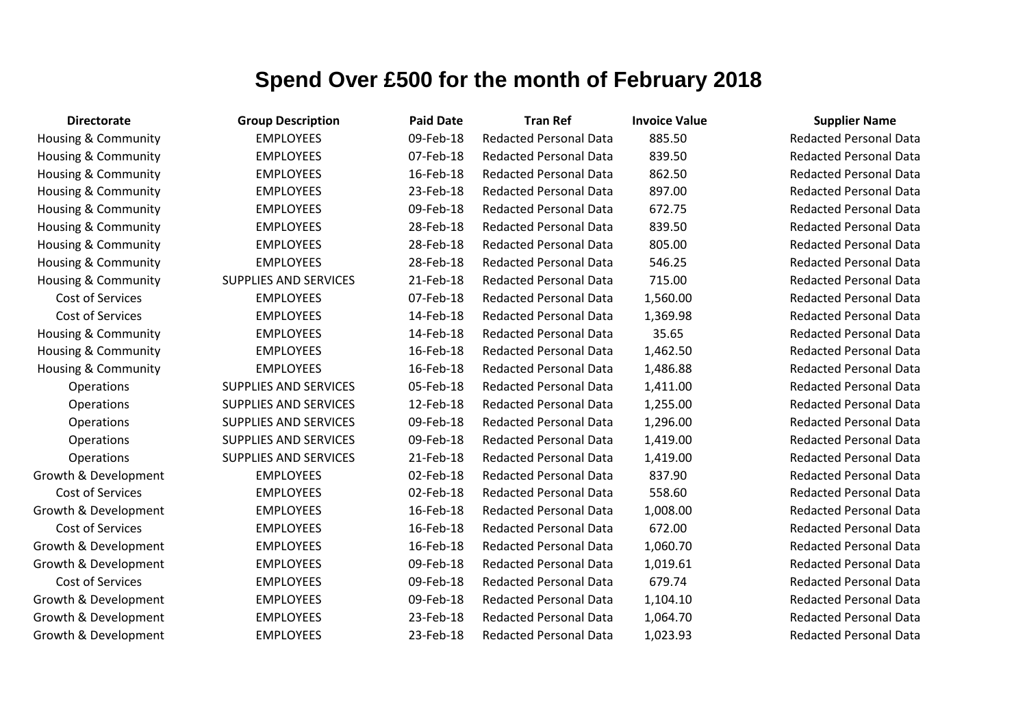| <b>Directorate</b>             | <b>Group Description</b>     | <b>Paid Date</b> | <b>Tran Ref</b>               | <b>Invoice Value</b> | <b>Supplier Name</b>          |
|--------------------------------|------------------------------|------------------|-------------------------------|----------------------|-------------------------------|
| <b>Housing &amp; Community</b> | <b>EMPLOYEES</b>             | 09-Feb-18        | <b>Redacted Personal Data</b> | 885.50               | <b>Redacted Personal Data</b> |
| Housing & Community            | <b>EMPLOYEES</b>             | 07-Feb-18        | <b>Redacted Personal Data</b> | 839.50               | <b>Redacted Personal Data</b> |
| <b>Housing &amp; Community</b> | <b>EMPLOYEES</b>             | 16-Feb-18        | <b>Redacted Personal Data</b> | 862.50               | <b>Redacted Personal Data</b> |
| Housing & Community            | <b>EMPLOYEES</b>             | 23-Feb-18        | <b>Redacted Personal Data</b> | 897.00               | <b>Redacted Personal Data</b> |
| Housing & Community            | <b>EMPLOYEES</b>             | 09-Feb-18        | <b>Redacted Personal Data</b> | 672.75               | <b>Redacted Personal Data</b> |
| Housing & Community            | <b>EMPLOYEES</b>             | 28-Feb-18        | <b>Redacted Personal Data</b> | 839.50               | <b>Redacted Personal Data</b> |
| <b>Housing &amp; Community</b> | <b>EMPLOYEES</b>             | 28-Feb-18        | <b>Redacted Personal Data</b> | 805.00               | <b>Redacted Personal Data</b> |
| Housing & Community            | <b>EMPLOYEES</b>             | 28-Feb-18        | <b>Redacted Personal Data</b> | 546.25               | <b>Redacted Personal Data</b> |
| <b>Housing &amp; Community</b> | <b>SUPPLIES AND SERVICES</b> | 21-Feb-18        | <b>Redacted Personal Data</b> | 715.00               | <b>Redacted Personal Data</b> |
| Cost of Services               | <b>EMPLOYEES</b>             | 07-Feb-18        | <b>Redacted Personal Data</b> | 1,560.00             | <b>Redacted Personal Data</b> |
| Cost of Services               | <b>EMPLOYEES</b>             | 14-Feb-18        | <b>Redacted Personal Data</b> | 1,369.98             | <b>Redacted Personal Data</b> |
| Housing & Community            | <b>EMPLOYEES</b>             | 14-Feb-18        | <b>Redacted Personal Data</b> | 35.65                | <b>Redacted Personal Data</b> |
| Housing & Community            | <b>EMPLOYEES</b>             | 16-Feb-18        | <b>Redacted Personal Data</b> | 1,462.50             | <b>Redacted Personal Data</b> |
| <b>Housing &amp; Community</b> | <b>EMPLOYEES</b>             | 16-Feb-18        | <b>Redacted Personal Data</b> | 1,486.88             | <b>Redacted Personal Data</b> |
| Operations                     | <b>SUPPLIES AND SERVICES</b> | 05-Feb-18        | <b>Redacted Personal Data</b> | 1,411.00             | <b>Redacted Personal Data</b> |
| Operations                     | <b>SUPPLIES AND SERVICES</b> | 12-Feb-18        | <b>Redacted Personal Data</b> | 1,255.00             | <b>Redacted Personal Data</b> |
| Operations                     | <b>SUPPLIES AND SERVICES</b> | 09-Feb-18        | <b>Redacted Personal Data</b> | 1,296.00             | <b>Redacted Personal Data</b> |
| Operations                     | <b>SUPPLIES AND SERVICES</b> | 09-Feb-18        | <b>Redacted Personal Data</b> | 1,419.00             | <b>Redacted Personal Data</b> |
| Operations                     | <b>SUPPLIES AND SERVICES</b> | 21-Feb-18        | <b>Redacted Personal Data</b> | 1,419.00             | <b>Redacted Personal Data</b> |
| Growth & Development           | <b>EMPLOYEES</b>             | 02-Feb-18        | <b>Redacted Personal Data</b> | 837.90               | <b>Redacted Personal Data</b> |
| Cost of Services               | <b>EMPLOYEES</b>             | 02-Feb-18        | <b>Redacted Personal Data</b> | 558.60               | <b>Redacted Personal Data</b> |
| Growth & Development           | <b>EMPLOYEES</b>             | 16-Feb-18        | <b>Redacted Personal Data</b> | 1,008.00             | <b>Redacted Personal Data</b> |
| Cost of Services               | <b>EMPLOYEES</b>             | 16-Feb-18        | <b>Redacted Personal Data</b> | 672.00               | <b>Redacted Personal Data</b> |
| Growth & Development           | <b>EMPLOYEES</b>             | 16-Feb-18        | <b>Redacted Personal Data</b> | 1,060.70             | <b>Redacted Personal Data</b> |
| Growth & Development           | <b>EMPLOYEES</b>             | 09-Feb-18        | <b>Redacted Personal Data</b> | 1,019.61             | <b>Redacted Personal Data</b> |
| Cost of Services               | <b>EMPLOYEES</b>             | 09-Feb-18        | <b>Redacted Personal Data</b> | 679.74               | <b>Redacted Personal Data</b> |
| Growth & Development           | <b>EMPLOYEES</b>             | 09-Feb-18        | <b>Redacted Personal Data</b> | 1,104.10             | <b>Redacted Personal Data</b> |
| Growth & Development           | <b>EMPLOYEES</b>             | 23-Feb-18        | <b>Redacted Personal Data</b> | 1,064.70             | <b>Redacted Personal Data</b> |
| Growth & Development           | <b>EMPLOYEES</b>             | 23-Feb-18        | <b>Redacted Personal Data</b> | 1,023.93             | <b>Redacted Personal Data</b> |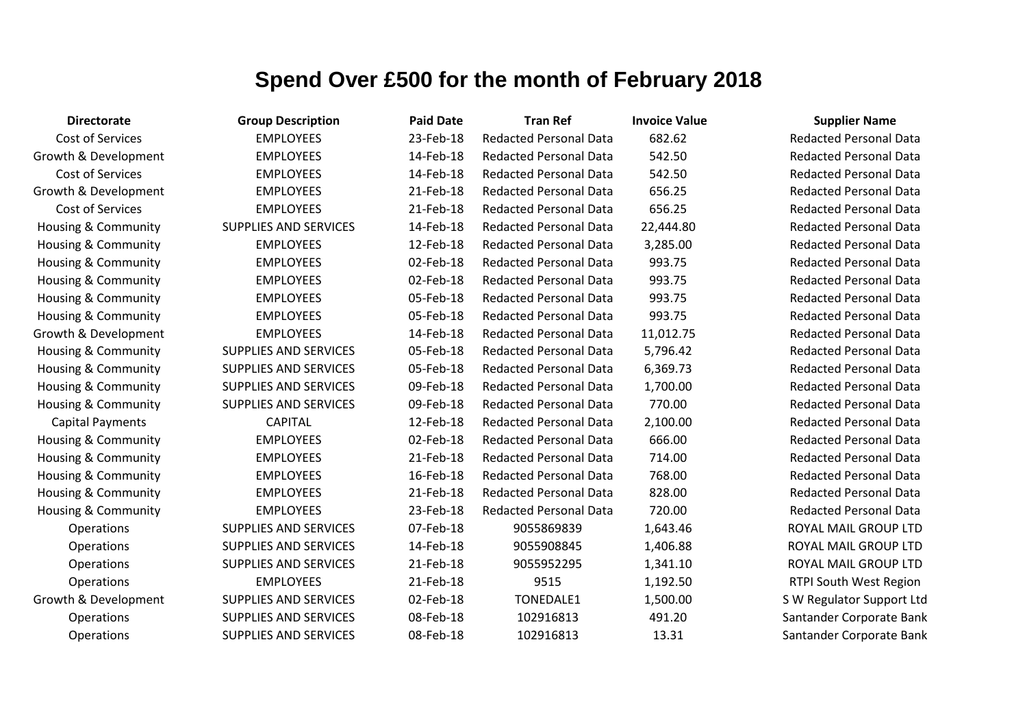| <b>Directorate</b>             | <b>Group Description</b>     | <b>Paid Date</b> | <b>Tran Ref</b>               | <b>Invoice Value</b> | <b>Supplier Name</b>          |
|--------------------------------|------------------------------|------------------|-------------------------------|----------------------|-------------------------------|
| Cost of Services               | <b>EMPLOYEES</b>             | 23-Feb-18        | <b>Redacted Personal Data</b> | 682.62               | <b>Redacted Personal Data</b> |
| Growth & Development           | <b>EMPLOYEES</b>             | 14-Feb-18        | <b>Redacted Personal Data</b> | 542.50               | <b>Redacted Personal Data</b> |
| Cost of Services               | <b>EMPLOYEES</b>             | 14-Feb-18        | <b>Redacted Personal Data</b> | 542.50               | <b>Redacted Personal Data</b> |
| Growth & Development           | <b>EMPLOYEES</b>             | 21-Feb-18        | <b>Redacted Personal Data</b> | 656.25               | <b>Redacted Personal Data</b> |
| Cost of Services               | <b>EMPLOYEES</b>             | 21-Feb-18        | <b>Redacted Personal Data</b> | 656.25               | <b>Redacted Personal Data</b> |
| <b>Housing &amp; Community</b> | <b>SUPPLIES AND SERVICES</b> | 14-Feb-18        | <b>Redacted Personal Data</b> | 22,444.80            | <b>Redacted Personal Data</b> |
| Housing & Community            | <b>EMPLOYEES</b>             | 12-Feb-18        | <b>Redacted Personal Data</b> | 3,285.00             | <b>Redacted Personal Data</b> |
| Housing & Community            | <b>EMPLOYEES</b>             | 02-Feb-18        | <b>Redacted Personal Data</b> | 993.75               | <b>Redacted Personal Data</b> |
| <b>Housing &amp; Community</b> | <b>EMPLOYEES</b>             | 02-Feb-18        | <b>Redacted Personal Data</b> | 993.75               | <b>Redacted Personal Data</b> |
| <b>Housing &amp; Community</b> | <b>EMPLOYEES</b>             | 05-Feb-18        | <b>Redacted Personal Data</b> | 993.75               | <b>Redacted Personal Data</b> |
| <b>Housing &amp; Community</b> | <b>EMPLOYEES</b>             | 05-Feb-18        | <b>Redacted Personal Data</b> | 993.75               | <b>Redacted Personal Data</b> |
| Growth & Development           | <b>EMPLOYEES</b>             | 14-Feb-18        | <b>Redacted Personal Data</b> | 11,012.75            | <b>Redacted Personal Data</b> |
| <b>Housing &amp; Community</b> | <b>SUPPLIES AND SERVICES</b> | 05-Feb-18        | <b>Redacted Personal Data</b> | 5,796.42             | <b>Redacted Personal Data</b> |
| <b>Housing &amp; Community</b> | SUPPLIES AND SERVICES        | 05-Feb-18        | <b>Redacted Personal Data</b> | 6,369.73             | <b>Redacted Personal Data</b> |
| <b>Housing &amp; Community</b> | <b>SUPPLIES AND SERVICES</b> | 09-Feb-18        | <b>Redacted Personal Data</b> | 1,700.00             | <b>Redacted Personal Data</b> |
| Housing & Community            | <b>SUPPLIES AND SERVICES</b> | 09-Feb-18        | <b>Redacted Personal Data</b> | 770.00               | <b>Redacted Personal Data</b> |
| <b>Capital Payments</b>        | <b>CAPITAL</b>               | 12-Feb-18        | <b>Redacted Personal Data</b> | 2,100.00             | <b>Redacted Personal Data</b> |
| Housing & Community            | <b>EMPLOYEES</b>             | 02-Feb-18        | <b>Redacted Personal Data</b> | 666.00               | <b>Redacted Personal Data</b> |
| <b>Housing &amp; Community</b> | <b>EMPLOYEES</b>             | 21-Feb-18        | <b>Redacted Personal Data</b> | 714.00               | <b>Redacted Personal Data</b> |
| <b>Housing &amp; Community</b> | <b>EMPLOYEES</b>             | 16-Feb-18        | <b>Redacted Personal Data</b> | 768.00               | <b>Redacted Personal Data</b> |
| <b>Housing &amp; Community</b> | <b>EMPLOYEES</b>             | 21-Feb-18        | <b>Redacted Personal Data</b> | 828.00               | <b>Redacted Personal Data</b> |
| Housing & Community            | <b>EMPLOYEES</b>             | 23-Feb-18        | <b>Redacted Personal Data</b> | 720.00               | <b>Redacted Personal Data</b> |
| <b>Operations</b>              | <b>SUPPLIES AND SERVICES</b> | 07-Feb-18        | 9055869839                    | 1,643.46             | ROYAL MAIL GROUP LTD          |
| Operations                     | <b>SUPPLIES AND SERVICES</b> | 14-Feb-18        | 9055908845                    | 1,406.88             | ROYAL MAIL GROUP LTD          |
| Operations                     | <b>SUPPLIES AND SERVICES</b> | 21-Feb-18        | 9055952295                    | 1,341.10             | ROYAL MAIL GROUP LTD          |
| Operations                     | <b>EMPLOYEES</b>             | 21-Feb-18        | 9515                          | 1,192.50             | RTPI South West Region        |
| Growth & Development           | <b>SUPPLIES AND SERVICES</b> | 02-Feb-18        | TONEDALE1                     | 1,500.00             | S W Regulator Support Ltd     |
| Operations                     | <b>SUPPLIES AND SERVICES</b> | 08-Feb-18        | 102916813                     | 491.20               | Santander Corporate Bank      |
| Operations                     | <b>SUPPLIES AND SERVICES</b> | 08-Feb-18        | 102916813                     | 13.31                | Santander Corporate Bank      |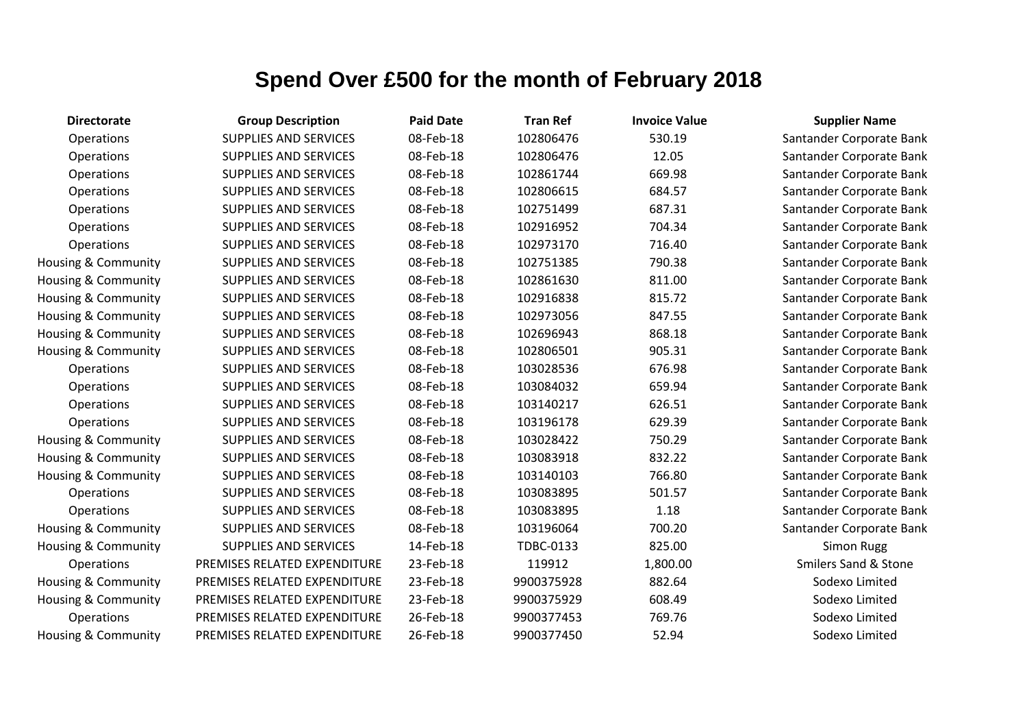| <b>Directorate</b>  | <b>Group Description</b>     | <b>Paid Date</b> | <b>Tran Ref</b> | <b>Invoice Value</b> | <b>Supplier Name</b> |
|---------------------|------------------------------|------------------|-----------------|----------------------|----------------------|
| Operations          | <b>SUPPLIES AND SERVICES</b> | 08-Feb-18        | 102806476       | 530.19               | Santander Corporate  |
| Operations          | <b>SUPPLIES AND SERVICES</b> | 08-Feb-18        | 102806476       | 12.05                | Santander Corporate  |
| Operations          | <b>SUPPLIES AND SERVICES</b> | 08-Feb-18        | 102861744       | 669.98               | Santander Corporate  |
| Operations          | <b>SUPPLIES AND SERVICES</b> | 08-Feb-18        | 102806615       | 684.57               | Santander Corporate  |
| Operations          | <b>SUPPLIES AND SERVICES</b> | 08-Feb-18        | 102751499       | 687.31               | Santander Corporate  |
| Operations          | <b>SUPPLIES AND SERVICES</b> | 08-Feb-18        | 102916952       | 704.34               | Santander Corporate  |
| Operations          | <b>SUPPLIES AND SERVICES</b> | 08-Feb-18        | 102973170       | 716.40               | Santander Corporate  |
| Housing & Community | <b>SUPPLIES AND SERVICES</b> | 08-Feb-18        | 102751385       | 790.38               | Santander Corporate  |
| Housing & Community | <b>SUPPLIES AND SERVICES</b> | 08-Feb-18        | 102861630       | 811.00               | Santander Corporate  |
| Housing & Community | <b>SUPPLIES AND SERVICES</b> | 08-Feb-18        | 102916838       | 815.72               | Santander Corporate  |
| Housing & Community | <b>SUPPLIES AND SERVICES</b> | 08-Feb-18        | 102973056       | 847.55               | Santander Corporate  |
| Housing & Community | <b>SUPPLIES AND SERVICES</b> | 08-Feb-18        | 102696943       | 868.18               | Santander Corporate  |
| Housing & Community | <b>SUPPLIES AND SERVICES</b> | 08-Feb-18        | 102806501       | 905.31               | Santander Corporate  |
| Operations          | <b>SUPPLIES AND SERVICES</b> | 08-Feb-18        | 103028536       | 676.98               | Santander Corporate  |
| Operations          | <b>SUPPLIES AND SERVICES</b> | 08-Feb-18        | 103084032       | 659.94               | Santander Corporate  |
| Operations          | <b>SUPPLIES AND SERVICES</b> | 08-Feb-18        | 103140217       | 626.51               | Santander Corporate  |
| Operations          | <b>SUPPLIES AND SERVICES</b> | 08-Feb-18        | 103196178       | 629.39               | Santander Corporate  |
| Housing & Community | SUPPLIES AND SERVICES        | 08-Feb-18        | 103028422       | 750.29               | Santander Corporate  |
| Housing & Community | <b>SUPPLIES AND SERVICES</b> | 08-Feb-18        | 103083918       | 832.22               | Santander Corporate  |
| Housing & Community | <b>SUPPLIES AND SERVICES</b> | 08-Feb-18        | 103140103       | 766.80               | Santander Corporate  |
| Operations          | <b>SUPPLIES AND SERVICES</b> | 08-Feb-18        | 103083895       | 501.57               | Santander Corporate  |
| Operations          | <b>SUPPLIES AND SERVICES</b> | 08-Feb-18        | 103083895       | 1.18                 | Santander Corporate  |
| Housing & Community | <b>SUPPLIES AND SERVICES</b> | 08-Feb-18        | 103196064       | 700.20               | Santander Corporate  |
| Housing & Community | <b>SUPPLIES AND SERVICES</b> | 14-Feb-18        | TDBC-0133       | 825.00               | <b>Simon Rugg</b>    |
| Operations          | PREMISES RELATED EXPENDITURE | 23-Feb-18        | 119912          | 1,800.00             | Smilers Sand & Sto   |
| Housing & Community | PREMISES RELATED EXPENDITURE | 23-Feb-18        | 9900375928      | 882.64               | Sodexo Limited       |
| Housing & Community | PREMISES RELATED EXPENDITURE | 23-Feb-18        | 9900375929      | 608.49               | Sodexo Limited       |
| Operations          | PREMISES RELATED EXPENDITURE | 26-Feb-18        | 9900377453      | 769.76               | Sodexo Limited       |
| Housing & Community | PREMISES RELATED EXPENDITURE | 26-Feb-18        | 9900377450      | 52.94                | Sodexo Limited       |
|                     |                              |                  |                 |                      |                      |

Santander Corporate Bank Santander Corporate Bank Santander Corporate Bank Santander Corporate Bank Santander Corporate Bank Santander Corporate Bank Santander Corporate Bank Santander Corporate Bank Santander Corporate Bank Santander Corporate Bank Santander Corporate Bank Santander Corporate Bank Santander Corporate Bank Santander Corporate Bank Santander Corporate Bank Santander Corporate Bank Santander Corporate Bank Santander Corporate Bank Santander Corporate Bank Santander Corporate Bank Santander Corporate Bank Santander Corporate Bank Santander Corporate Bank Smilers Sand & Stone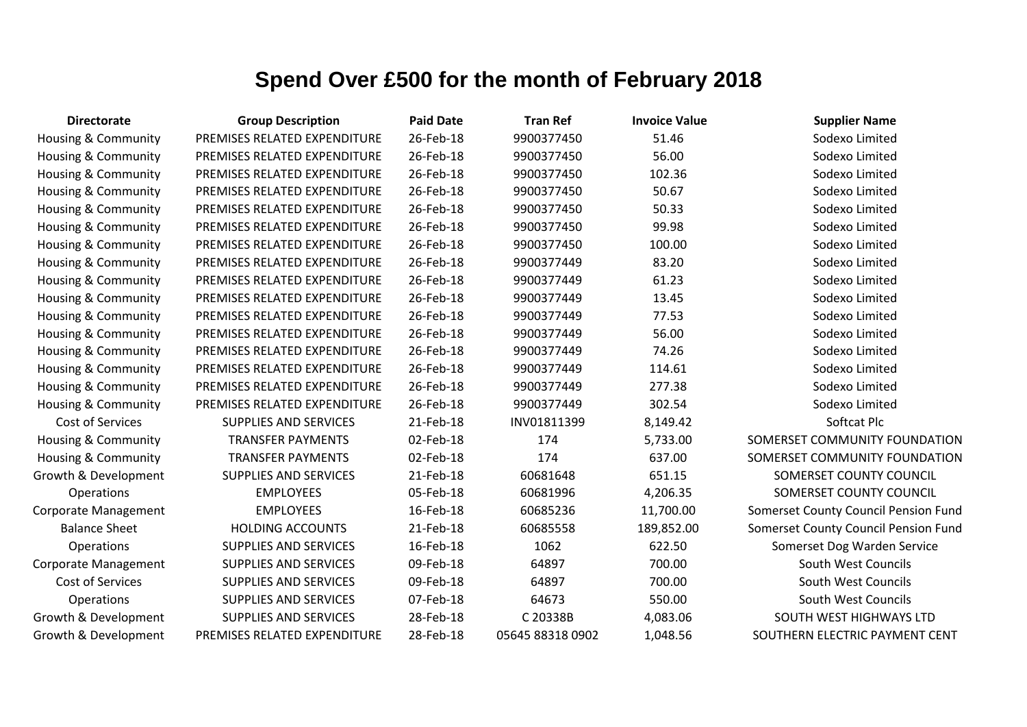| <b>Directorate</b>             | <b>Group Description</b>     | <b>Paid Date</b> | <b>Tran Ref</b>  | <b>Invoice Value</b> | <b>Supplier Name</b>                 |
|--------------------------------|------------------------------|------------------|------------------|----------------------|--------------------------------------|
| <b>Housing &amp; Community</b> | PREMISES RELATED EXPENDITURE | 26-Feb-18        | 9900377450       | 51.46                | Sodexo Limited                       |
| Housing & Community            | PREMISES RELATED EXPENDITURE | 26-Feb-18        | 9900377450       | 56.00                | Sodexo Limited                       |
| Housing & Community            | PREMISES RELATED EXPENDITURE | 26-Feb-18        | 9900377450       | 102.36               | Sodexo Limited                       |
| <b>Housing &amp; Community</b> | PREMISES RELATED EXPENDITURE | 26-Feb-18        | 9900377450       | 50.67                | Sodexo Limited                       |
| <b>Housing &amp; Community</b> | PREMISES RELATED EXPENDITURE | 26-Feb-18        | 9900377450       | 50.33                | Sodexo Limited                       |
| <b>Housing &amp; Community</b> | PREMISES RELATED EXPENDITURE | 26-Feb-18        | 9900377450       | 99.98                | Sodexo Limited                       |
| Housing & Community            | PREMISES RELATED EXPENDITURE | 26-Feb-18        | 9900377450       | 100.00               | Sodexo Limited                       |
| Housing & Community            | PREMISES RELATED EXPENDITURE | 26-Feb-18        | 9900377449       | 83.20                | Sodexo Limited                       |
| <b>Housing &amp; Community</b> | PREMISES RELATED EXPENDITURE | 26-Feb-18        | 9900377449       | 61.23                | Sodexo Limited                       |
| <b>Housing &amp; Community</b> | PREMISES RELATED EXPENDITURE | 26-Feb-18        | 9900377449       | 13.45                | Sodexo Limited                       |
| Housing & Community            | PREMISES RELATED EXPENDITURE | 26-Feb-18        | 9900377449       | 77.53                | Sodexo Limited                       |
| <b>Housing &amp; Community</b> | PREMISES RELATED EXPENDITURE | 26-Feb-18        | 9900377449       | 56.00                | Sodexo Limited                       |
| <b>Housing &amp; Community</b> | PREMISES RELATED EXPENDITURE | 26-Feb-18        | 9900377449       | 74.26                | Sodexo Limited                       |
| <b>Housing &amp; Community</b> | PREMISES RELATED EXPENDITURE | 26-Feb-18        | 9900377449       | 114.61               | Sodexo Limited                       |
| Housing & Community            | PREMISES RELATED EXPENDITURE | 26-Feb-18        | 9900377449       | 277.38               | Sodexo Limited                       |
| <b>Housing &amp; Community</b> | PREMISES RELATED EXPENDITURE | 26-Feb-18        | 9900377449       | 302.54               | Sodexo Limited                       |
| Cost of Services               | <b>SUPPLIES AND SERVICES</b> | 21-Feb-18        | INV01811399      | 8,149.42             | Softcat Plc                          |
| Housing & Community            | <b>TRANSFER PAYMENTS</b>     | 02-Feb-18        | 174              | 5,733.00             | SOMERSET COMMUNITY FOUNDATION        |
| Housing & Community            | <b>TRANSFER PAYMENTS</b>     | 02-Feb-18        | 174              | 637.00               | SOMERSET COMMUNITY FOUNDATION        |
| Growth & Development           | <b>SUPPLIES AND SERVICES</b> | 21-Feb-18        | 60681648         | 651.15               | SOMERSET COUNTY COUNCIL              |
| Operations                     | <b>EMPLOYEES</b>             | 05-Feb-18        | 60681996         | 4,206.35             | SOMERSET COUNTY COUNCIL              |
| Corporate Management           | <b>EMPLOYEES</b>             | 16-Feb-18        | 60685236         | 11,700.00            | Somerset County Council Pension Fund |
| <b>Balance Sheet</b>           | <b>HOLDING ACCOUNTS</b>      | 21-Feb-18        | 60685558         | 189,852.00           | Somerset County Council Pension Fund |
| Operations                     | <b>SUPPLIES AND SERVICES</b> | 16-Feb-18        | 1062             | 622.50               | Somerset Dog Warden Service          |
| Corporate Management           | <b>SUPPLIES AND SERVICES</b> | 09-Feb-18        | 64897            | 700.00               | South West Councils                  |
| Cost of Services               | <b>SUPPLIES AND SERVICES</b> | 09-Feb-18        | 64897            | 700.00               | South West Councils                  |
| Operations                     | <b>SUPPLIES AND SERVICES</b> | 07-Feb-18        | 64673            | 550.00               | South West Councils                  |
| Growth & Development           | <b>SUPPLIES AND SERVICES</b> | 28-Feb-18        | C 20338B         | 4,083.06             | SOUTH WEST HIGHWAYS LTD              |
| Growth & Development           | PREMISES RELATED EXPENDITURE | 28-Feb-18        | 05645 88318 0902 | 1,048.56             | SOUTHERN ELECTRIC PAYMENT CENT       |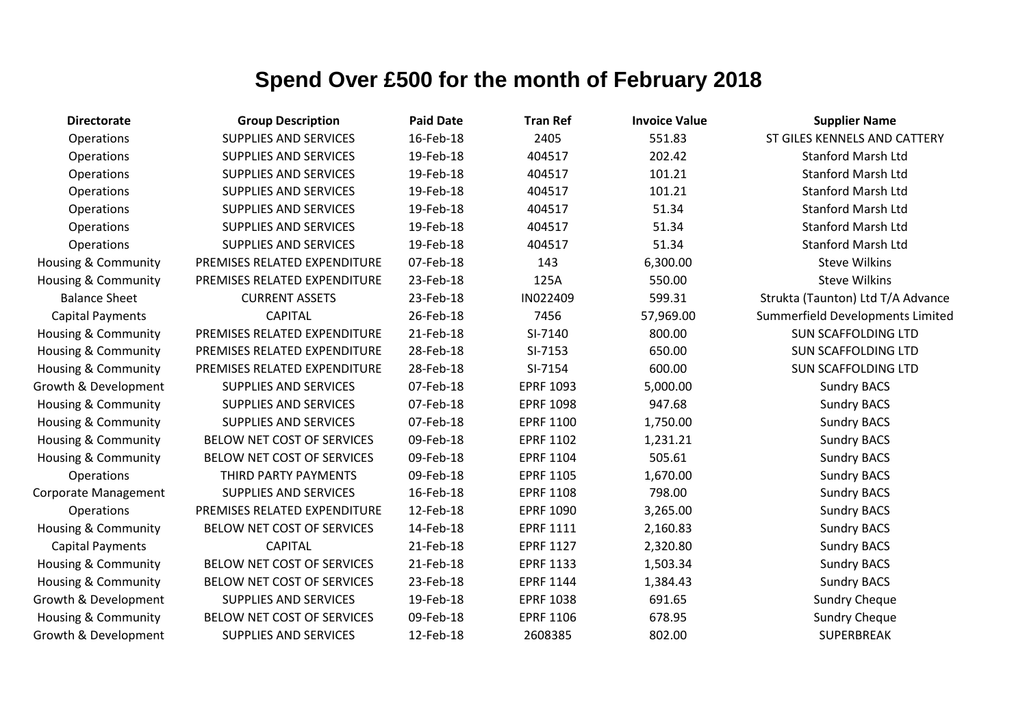| <b>Directorate</b>             | <b>Group Description</b>     | <b>Paid Date</b> | <b>Tran Ref</b>  | <b>Invoice Value</b> | <b>Supplier Name</b>              |
|--------------------------------|------------------------------|------------------|------------------|----------------------|-----------------------------------|
| Operations                     | <b>SUPPLIES AND SERVICES</b> | 16-Feb-18        | 2405             | 551.83               | ST GILES KENNELS AND CATTERY      |
| Operations                     | SUPPLIES AND SERVICES        | 19-Feb-18        | 404517           | 202.42               | <b>Stanford Marsh Ltd</b>         |
| Operations                     | <b>SUPPLIES AND SERVICES</b> | 19-Feb-18        | 404517           | 101.21               | <b>Stanford Marsh Ltd</b>         |
| Operations                     | <b>SUPPLIES AND SERVICES</b> | 19-Feb-18        | 404517           | 101.21               | <b>Stanford Marsh Ltd</b>         |
| Operations                     | <b>SUPPLIES AND SERVICES</b> | 19-Feb-18        | 404517           | 51.34                | <b>Stanford Marsh Ltd</b>         |
| Operations                     | <b>SUPPLIES AND SERVICES</b> | 19-Feb-18        | 404517           | 51.34                | <b>Stanford Marsh Ltd</b>         |
| <b>Operations</b>              | <b>SUPPLIES AND SERVICES</b> | 19-Feb-18        | 404517           | 51.34                | <b>Stanford Marsh Ltd</b>         |
| Housing & Community            | PREMISES RELATED EXPENDITURE | 07-Feb-18        | 143              | 6,300.00             | <b>Steve Wilkins</b>              |
| <b>Housing &amp; Community</b> | PREMISES RELATED EXPENDITURE | 23-Feb-18        | 125A             | 550.00               | <b>Steve Wilkins</b>              |
| <b>Balance Sheet</b>           | <b>CURRENT ASSETS</b>        | 23-Feb-18        | IN022409         | 599.31               | Strukta (Taunton) Ltd T/A Advance |
| <b>Capital Payments</b>        | <b>CAPITAL</b>               | 26-Feb-18        | 7456             | 57,969.00            | Summerfield Developments Limited  |
| Housing & Community            | PREMISES RELATED EXPENDITURE | 21-Feb-18        | SI-7140          | 800.00               | <b>SUN SCAFFOLDING LTD</b>        |
| Housing & Community            | PREMISES RELATED EXPENDITURE | 28-Feb-18        | SI-7153          | 650.00               | <b>SUN SCAFFOLDING LTD</b>        |
| Housing & Community            | PREMISES RELATED EXPENDITURE | 28-Feb-18        | SI-7154          | 600.00               | <b>SUN SCAFFOLDING LTD</b>        |
| Growth & Development           | <b>SUPPLIES AND SERVICES</b> | 07-Feb-18        | <b>EPRF 1093</b> | 5,000.00             | <b>Sundry BACS</b>                |
| <b>Housing &amp; Community</b> | <b>SUPPLIES AND SERVICES</b> | 07-Feb-18        | <b>EPRF 1098</b> | 947.68               | <b>Sundry BACS</b>                |
| Housing & Community            | SUPPLIES AND SERVICES        | 07-Feb-18        | <b>EPRF 1100</b> | 1,750.00             | <b>Sundry BACS</b>                |
| <b>Housing &amp; Community</b> | BELOW NET COST OF SERVICES   | 09-Feb-18        | <b>EPRF 1102</b> | 1,231.21             | <b>Sundry BACS</b>                |
| Housing & Community            | BELOW NET COST OF SERVICES   | 09-Feb-18        | <b>EPRF 1104</b> | 505.61               | <b>Sundry BACS</b>                |
| <b>Operations</b>              | THIRD PARTY PAYMENTS         | 09-Feb-18        | <b>EPRF 1105</b> | 1,670.00             | <b>Sundry BACS</b>                |
| Corporate Management           | <b>SUPPLIES AND SERVICES</b> | 16-Feb-18        | <b>EPRF 1108</b> | 798.00               | <b>Sundry BACS</b>                |
| <b>Operations</b>              | PREMISES RELATED EXPENDITURE | 12-Feb-18        | <b>EPRF 1090</b> | 3,265.00             | <b>Sundry BACS</b>                |
| Housing & Community            | BELOW NET COST OF SERVICES   | 14-Feb-18        | <b>EPRF 1111</b> | 2,160.83             | <b>Sundry BACS</b>                |
| <b>Capital Payments</b>        | <b>CAPITAL</b>               | 21-Feb-18        | <b>EPRF 1127</b> | 2,320.80             | <b>Sundry BACS</b>                |
| Housing & Community            | BELOW NET COST OF SERVICES   | 21-Feb-18        | <b>EPRF 1133</b> | 1,503.34             | <b>Sundry BACS</b>                |
| Housing & Community            | BELOW NET COST OF SERVICES   | 23-Feb-18        | <b>EPRF 1144</b> | 1,384.43             | <b>Sundry BACS</b>                |
| Growth & Development           | <b>SUPPLIES AND SERVICES</b> | 19-Feb-18        | <b>EPRF 1038</b> | 691.65               | <b>Sundry Cheque</b>              |
| <b>Housing &amp; Community</b> | BELOW NET COST OF SERVICES   | 09-Feb-18        | <b>EPRF 1106</b> | 678.95               | <b>Sundry Cheque</b>              |
| Growth & Development           | <b>SUPPLIES AND SERVICES</b> | 12-Feb-18        | 2608385          | 802.00               | <b>SUPERBREAK</b>                 |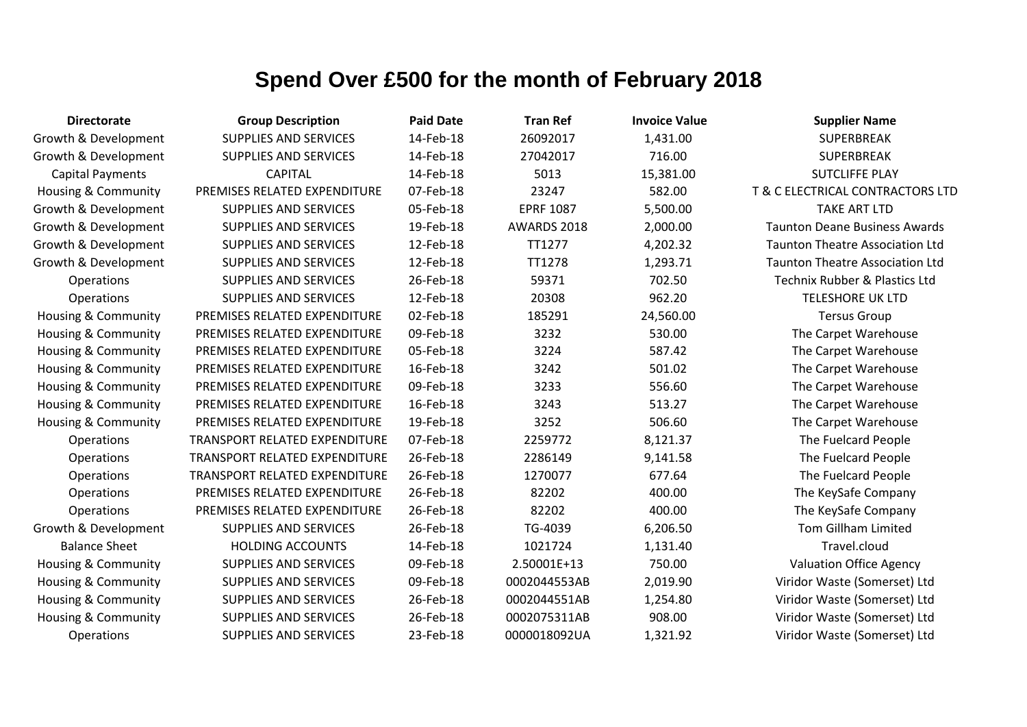| <b>Directorate</b>             | <b>Group Description</b>      | <b>Paid Date</b> | <b>Tran Ref</b>  | <b>Invoice Value</b> | <b>Supplier Name</b>                   |
|--------------------------------|-------------------------------|------------------|------------------|----------------------|----------------------------------------|
| Growth & Development           | <b>SUPPLIES AND SERVICES</b>  | 14-Feb-18        | 26092017         | 1,431.00             | SUPERBREAK                             |
| Growth & Development           | <b>SUPPLIES AND SERVICES</b>  | 14-Feb-18        | 27042017         | 716.00               | <b>SUPERBREAK</b>                      |
| <b>Capital Payments</b>        | <b>CAPITAL</b>                | 14-Feb-18        | 5013             | 15,381.00            | <b>SUTCLIFFE PLAY</b>                  |
| Housing & Community            | PREMISES RELATED EXPENDITURE  | 07-Feb-18        | 23247            | 582.00               | T & C ELECTRICAL CONTRACTORS LTD       |
| Growth & Development           | <b>SUPPLIES AND SERVICES</b>  | 05-Feb-18        | <b>EPRF 1087</b> | 5,500.00             | <b>TAKE ART LTD</b>                    |
| Growth & Development           | <b>SUPPLIES AND SERVICES</b>  | 19-Feb-18        | AWARDS 2018      | 2,000.00             | <b>Taunton Deane Business Awards</b>   |
| Growth & Development           | <b>SUPPLIES AND SERVICES</b>  | 12-Feb-18        | TT1277           | 4,202.32             | <b>Taunton Theatre Association Ltd</b> |
| Growth & Development           | <b>SUPPLIES AND SERVICES</b>  | 12-Feb-18        | TT1278           | 1,293.71             | <b>Taunton Theatre Association Ltd</b> |
| Operations                     | <b>SUPPLIES AND SERVICES</b>  | 26-Feb-18        | 59371            | 702.50               | Technix Rubber & Plastics Ltd          |
| Operations                     | <b>SUPPLIES AND SERVICES</b>  | 12-Feb-18        | 20308            | 962.20               | <b>TELESHORE UK LTD</b>                |
| Housing & Community            | PREMISES RELATED EXPENDITURE  | 02-Feb-18        | 185291           | 24,560.00            | <b>Tersus Group</b>                    |
| <b>Housing &amp; Community</b> | PREMISES RELATED EXPENDITURE  | 09-Feb-18        | 3232             | 530.00               | The Carpet Warehouse                   |
| <b>Housing &amp; Community</b> | PREMISES RELATED EXPENDITURE  | 05-Feb-18        | 3224             | 587.42               | The Carpet Warehouse                   |
| <b>Housing &amp; Community</b> | PREMISES RELATED EXPENDITURE  | 16-Feb-18        | 3242             | 501.02               | The Carpet Warehouse                   |
| Housing & Community            | PREMISES RELATED EXPENDITURE  | 09-Feb-18        | 3233             | 556.60               | The Carpet Warehouse                   |
| <b>Housing &amp; Community</b> | PREMISES RELATED EXPENDITURE  | 16-Feb-18        | 3243             | 513.27               | The Carpet Warehouse                   |
| <b>Housing &amp; Community</b> | PREMISES RELATED EXPENDITURE  | 19-Feb-18        | 3252             | 506.60               | The Carpet Warehouse                   |
| Operations                     | TRANSPORT RELATED EXPENDITURE | 07-Feb-18        | 2259772          | 8,121.37             | The Fuelcard People                    |
| Operations                     | TRANSPORT RELATED EXPENDITURE | 26-Feb-18        | 2286149          | 9,141.58             | The Fuelcard People                    |
| Operations                     | TRANSPORT RELATED EXPENDITURE | 26-Feb-18        | 1270077          | 677.64               | The Fuelcard People                    |
| Operations                     | PREMISES RELATED EXPENDITURE  | 26-Feb-18        | 82202            | 400.00               | The KeySafe Company                    |
| Operations                     | PREMISES RELATED EXPENDITURE  | 26-Feb-18        | 82202            | 400.00               | The KeySafe Company                    |
| Growth & Development           | <b>SUPPLIES AND SERVICES</b>  | 26-Feb-18        | TG-4039          | 6,206.50             | <b>Tom Gillham Limited</b>             |
| <b>Balance Sheet</b>           | <b>HOLDING ACCOUNTS</b>       | 14-Feb-18        | 1021724          | 1,131.40             | Travel.cloud                           |
| Housing & Community            | <b>SUPPLIES AND SERVICES</b>  | 09-Feb-18        | 2.50001E+13      | 750.00               | <b>Valuation Office Agency</b>         |
| <b>Housing &amp; Community</b> | <b>SUPPLIES AND SERVICES</b>  | 09-Feb-18        | 0002044553AB     | 2,019.90             | Viridor Waste (Somerset) Ltd           |
| Housing & Community            | <b>SUPPLIES AND SERVICES</b>  | 26-Feb-18        | 0002044551AB     | 1,254.80             | Viridor Waste (Somerset) Ltd           |
| <b>Housing &amp; Community</b> | <b>SUPPLIES AND SERVICES</b>  | 26-Feb-18        | 0002075311AB     | 908.00               | Viridor Waste (Somerset) Ltd           |
| Operations                     | <b>SUPPLIES AND SERVICES</b>  | 23-Feb-18        | 0000018092UA     | 1,321.92             | Viridor Waste (Somerset) Ltd           |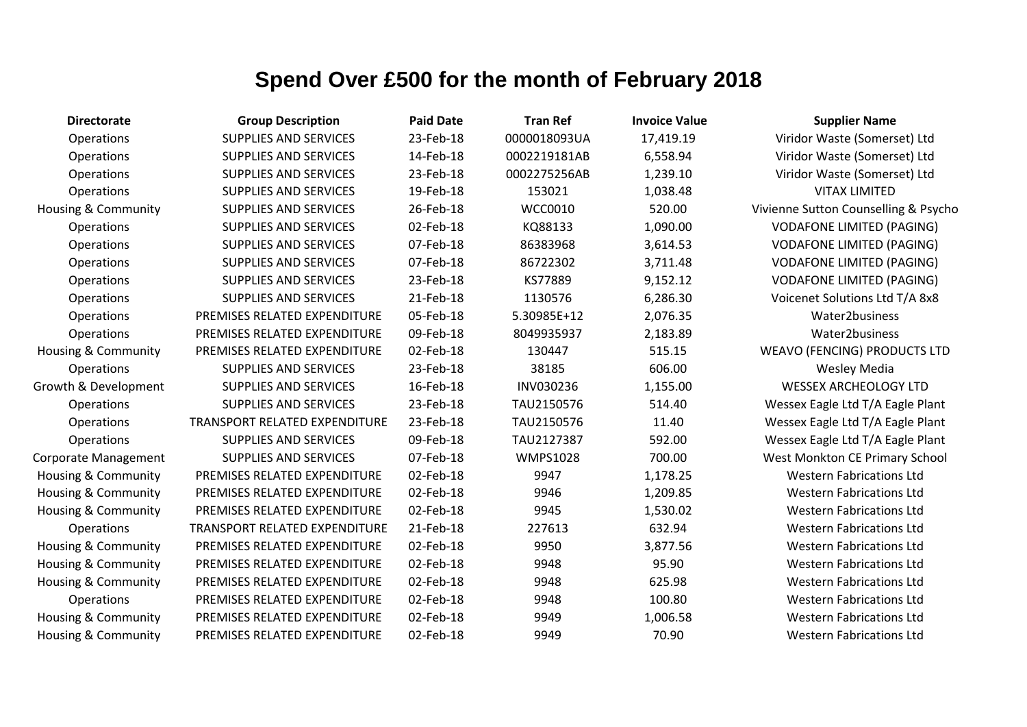| <b>Directorate</b>             | <b>Group Description</b>             | <b>Paid Date</b> | <b>Tran Ref</b> | <b>Invoice Value</b> | <b>Supplier Name</b>                 |
|--------------------------------|--------------------------------------|------------------|-----------------|----------------------|--------------------------------------|
| Operations                     | <b>SUPPLIES AND SERVICES</b>         | 23-Feb-18        | 0000018093UA    | 17,419.19            | Viridor Waste (Somerset) Ltd         |
| Operations                     | <b>SUPPLIES AND SERVICES</b>         | 14-Feb-18        | 0002219181AB    | 6,558.94             | Viridor Waste (Somerset) Ltd         |
| Operations                     | SUPPLIES AND SERVICES                | 23-Feb-18        | 0002275256AB    | 1,239.10             | Viridor Waste (Somerset) Ltd         |
| Operations                     | <b>SUPPLIES AND SERVICES</b>         | 19-Feb-18        | 153021          | 1,038.48             | <b>VITAX LIMITED</b>                 |
| <b>Housing &amp; Community</b> | SUPPLIES AND SERVICES                | 26-Feb-18        | WCC0010         | 520.00               | Vivienne Sutton Counselling & Psycho |
| Operations                     | <b>SUPPLIES AND SERVICES</b>         | 02-Feb-18        | KQ88133         | 1,090.00             | <b>VODAFONE LIMITED (PAGING)</b>     |
| Operations                     | SUPPLIES AND SERVICES                | 07-Feb-18        | 86383968        | 3,614.53             | <b>VODAFONE LIMITED (PAGING)</b>     |
| Operations                     | <b>SUPPLIES AND SERVICES</b>         | 07-Feb-18        | 86722302        | 3,711.48             | <b>VODAFONE LIMITED (PAGING)</b>     |
| Operations                     | SUPPLIES AND SERVICES                | 23-Feb-18        | KS77889         | 9,152.12             | <b>VODAFONE LIMITED (PAGING)</b>     |
| Operations                     | <b>SUPPLIES AND SERVICES</b>         | 21-Feb-18        | 1130576         | 6,286.30             | Voicenet Solutions Ltd T/A 8x8       |
| Operations                     | PREMISES RELATED EXPENDITURE         | 05-Feb-18        | 5.30985E+12     | 2,076.35             | Water2business                       |
| Operations                     | PREMISES RELATED EXPENDITURE         | 09-Feb-18        | 8049935937      | 2,183.89             | Water2business                       |
| <b>Housing &amp; Community</b> | PREMISES RELATED EXPENDITURE         | 02-Feb-18        | 130447          | 515.15               | <b>WEAVO (FENCING) PRODUCTS LTD</b>  |
| Operations                     | <b>SUPPLIES AND SERVICES</b>         | 23-Feb-18        | 38185           | 606.00               | <b>Wesley Media</b>                  |
| Growth & Development           | <b>SUPPLIES AND SERVICES</b>         | 16-Feb-18        | INV030236       | 1,155.00             | <b>WESSEX ARCHEOLOGY LTD</b>         |
| Operations                     | <b>SUPPLIES AND SERVICES</b>         | 23-Feb-18        | TAU2150576      | 514.40               | Wessex Eagle Ltd T/A Eagle Plant     |
| Operations                     | TRANSPORT RELATED EXPENDITURE        | 23-Feb-18        | TAU2150576      | 11.40                | Wessex Eagle Ltd T/A Eagle Plant     |
| Operations                     | <b>SUPPLIES AND SERVICES</b>         | 09-Feb-18        | TAU2127387      | 592.00               | Wessex Eagle Ltd T/A Eagle Plant     |
| Corporate Management           | <b>SUPPLIES AND SERVICES</b>         | 07-Feb-18        | <b>WMPS1028</b> | 700.00               | West Monkton CE Primary School       |
| <b>Housing &amp; Community</b> | PREMISES RELATED EXPENDITURE         | 02-Feb-18        | 9947            | 1,178.25             | <b>Western Fabrications Ltd</b>      |
| <b>Housing &amp; Community</b> | PREMISES RELATED EXPENDITURE         | 02-Feb-18        | 9946            | 1,209.85             | <b>Western Fabrications Ltd</b>      |
| Housing & Community            | PREMISES RELATED EXPENDITURE         | 02-Feb-18        | 9945            | 1,530.02             | <b>Western Fabrications Ltd</b>      |
| <b>Operations</b>              | <b>TRANSPORT RELATED EXPENDITURE</b> | 21-Feb-18        | 227613          | 632.94               | <b>Western Fabrications Ltd</b>      |
| Housing & Community            | PREMISES RELATED EXPENDITURE         | 02-Feb-18        | 9950            | 3,877.56             | <b>Western Fabrications Ltd</b>      |
| Housing & Community            | PREMISES RELATED EXPENDITURE         | 02-Feb-18        | 9948            | 95.90                | <b>Western Fabrications Ltd</b>      |
| <b>Housing &amp; Community</b> | PREMISES RELATED EXPENDITURE         | 02-Feb-18        | 9948            | 625.98               | <b>Western Fabrications Ltd</b>      |
| <b>Operations</b>              | PREMISES RELATED EXPENDITURE         | 02-Feb-18        | 9948            | 100.80               | <b>Western Fabrications Ltd</b>      |
| <b>Housing &amp; Community</b> | PREMISES RELATED EXPENDITURE         | 02-Feb-18        | 9949            | 1,006.58             | <b>Western Fabrications Ltd</b>      |
| <b>Housing &amp; Community</b> | PREMISES RELATED EXPENDITURE         | 02-Feb-18        | 9949            | 70.90                | <b>Western Fabrications Ltd</b>      |